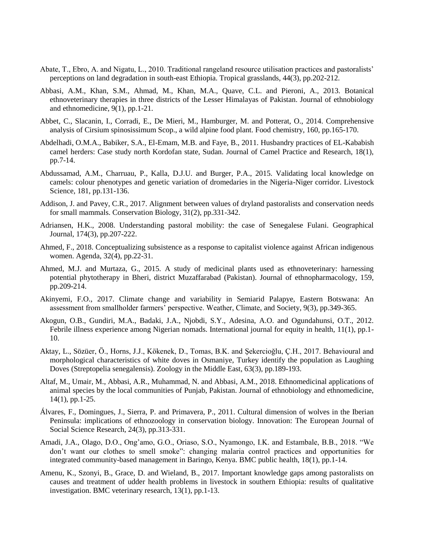- Abate, T., Ebro, A. and Nigatu, L., 2010. Traditional rangeland resource utilisation practices and pastoralists' perceptions on land degradation in south-east Ethiopia. Tropical grasslands, 44(3), pp.202-212.
- Abbasi, A.M., Khan, S.M., Ahmad, M., Khan, M.A., Quave, C.L. and Pieroni, A., 2013. Botanical ethnoveterinary therapies in three districts of the Lesser Himalayas of Pakistan. Journal of ethnobiology and ethnomedicine, 9(1), pp.1-21.
- Abbet, C., Slacanin, I., Corradi, E., De Mieri, M., Hamburger, M. and Potterat, O., 2014. Comprehensive analysis of Cirsium spinosissimum Scop., a wild alpine food plant. Food chemistry, 160, pp.165-170.
- Abdelhadi, O.M.A., Babiker, S.A., El-Emam, M.B. and Faye, B., 2011. Husbandry practices of EL-Kababish camel herders: Case study north Kordofan state, Sudan. Journal of Camel Practice and Research, 18(1), pp.7-14.
- Abdussamad, A.M., Charruau, P., Kalla, D.J.U. and Burger, P.A., 2015. Validating local knowledge on camels: colour phenotypes and genetic variation of dromedaries in the Nigeria-Niger corridor. Livestock Science, 181, pp.131-136.
- Addison, J. and Pavey, C.R., 2017. Alignment between values of dryland pastoralists and conservation needs for small mammals. Conservation Biology, 31(2), pp.331-342.
- Adriansen, H.K., 2008. Understanding pastoral mobility: the case of Senegalese Fulani. Geographical Journal, 174(3), pp.207-222.
- Ahmed, F., 2018. Conceptualizing subsistence as a response to capitalist violence against African indigenous women. Agenda, 32(4), pp.22-31.
- Ahmed, M.J. and Murtaza, G., 2015. A study of medicinal plants used as ethnoveterinary: harnessing potential phytotherapy in Bheri, district Muzaffarabad (Pakistan). Journal of ethnopharmacology, 159, pp.209-214.
- Akinyemi, F.O., 2017. Climate change and variability in Semiarid Palapye, Eastern Botswana: An assessment from smallholder farmers' perspective. Weather, Climate, and Society, 9(3), pp.349-365.
- Akogun, O.B., Gundiri, M.A., Badaki, J.A., Njobdi, S.Y., Adesina, A.O. and Ogundahunsi, O.T., 2012. Febrile illness experience among Nigerian nomads. International journal for equity in health, 11(1), pp.1- 10.
- Aktay, L., Sözüer, Ö., Horns, J.J., Kökenek, D., Tomas, B.K. and Şekercioğlu, Ç.H., 2017. Behavioural and morphological characteristics of white doves in Osmaniye, Turkey identify the population as Laughing Doves (Streptopelia senegalensis). Zoology in the Middle East, 63(3), pp.189-193.
- Altaf, M., Umair, M., Abbasi, A.R., Muhammad, N. and Abbasi, A.M., 2018. Ethnomedicinal applications of animal species by the local communities of Punjab, Pakistan. Journal of ethnobiology and ethnomedicine, 14(1), pp.1-25.
- Álvares, F., Domingues, J., Sierra, P. and Primavera, P., 2011. Cultural dimension of wolves in the Iberian Peninsula: implications of ethnozoology in conservation biology. Innovation: The European Journal of Social Science Research, 24(3), pp.313-331.
- Amadi, J.A., Olago, D.O., Ong'amo, G.O., Oriaso, S.O., Nyamongo, I.K. and Estambale, B.B., 2018. "We don't want our clothes to smell smoke": changing malaria control practices and opportunities for integrated community-based management in Baringo, Kenya. BMC public health, 18(1), pp.1-14.
- Amenu, K., Szonyi, B., Grace, D. and Wieland, B., 2017. Important knowledge gaps among pastoralists on causes and treatment of udder health problems in livestock in southern Ethiopia: results of qualitative investigation. BMC veterinary research, 13(1), pp.1-13.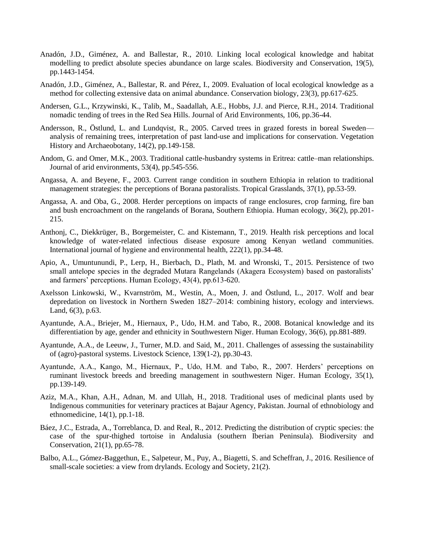- Anadón, J.D., Giménez, A. and Ballestar, R., 2010. Linking local ecological knowledge and habitat modelling to predict absolute species abundance on large scales. Biodiversity and Conservation, 19(5), pp.1443-1454.
- Anadón, J.D., Giménez, A., Ballestar, R. and Pérez, I., 2009. Evaluation of local ecological knowledge as a method for collecting extensive data on animal abundance. Conservation biology, 23(3), pp.617-625.
- Andersen, G.L., Krzywinski, K., Talib, M., Saadallah, A.E., Hobbs, J.J. and Pierce, R.H., 2014. Traditional nomadic tending of trees in the Red Sea Hills. Journal of Arid Environments, 106, pp.36-44.
- Andersson, R., Östlund, L. and Lundqvist, R., 2005. Carved trees in grazed forests in boreal Sweden analysis of remaining trees, interpretation of past land-use and implications for conservation. Vegetation History and Archaeobotany, 14(2), pp.149-158.
- Andom, G. and Omer, M.K., 2003. Traditional cattle-husbandry systems in Eritrea: cattle–man relationships. Journal of arid environments, 53(4), pp.545-556.
- Angassa, A. and Beyene, F., 2003. Current range condition in southern Ethiopia in relation to traditional management strategies: the perceptions of Borana pastoralists. Tropical Grasslands, 37(1), pp.53-59.
- Angassa, A. and Oba, G., 2008. Herder perceptions on impacts of range enclosures, crop farming, fire ban and bush encroachment on the rangelands of Borana, Southern Ethiopia. Human ecology, 36(2), pp.201- 215.
- Anthonj, C., Diekkrüger, B., Borgemeister, C. and Kistemann, T., 2019. Health risk perceptions and local knowledge of water-related infectious disease exposure among Kenyan wetland communities. International journal of hygiene and environmental health, 222(1), pp.34-48.
- Apio, A., Umuntunundi, P., Lerp, H., Bierbach, D., Plath, M. and Wronski, T., 2015. Persistence of two small antelope species in the degraded Mutara Rangelands (Akagera Ecosystem) based on pastoralists' and farmers' perceptions. Human Ecology, 43(4), pp.613-620.
- Axelsson Linkowski, W., Kvarnström, M., Westin, A., Moen, J. and Östlund, L., 2017. Wolf and bear depredation on livestock in Northern Sweden 1827–2014: combining history, ecology and interviews. Land, 6(3), p.63.
- Ayantunde, A.A., Briejer, M., Hiernaux, P., Udo, H.M. and Tabo, R., 2008. Botanical knowledge and its differentiation by age, gender and ethnicity in Southwestern Niger. Human Ecology, 36(6), pp.881-889.
- Ayantunde, A.A., de Leeuw, J., Turner, M.D. and Said, M., 2011. Challenges of assessing the sustainability of (agro)-pastoral systems. Livestock Science, 139(1-2), pp.30-43.
- Ayantunde, A.A., Kango, M., Hiernaux, P., Udo, H.M. and Tabo, R., 2007. Herders' perceptions on ruminant livestock breeds and breeding management in southwestern Niger. Human Ecology, 35(1), pp.139-149.
- Aziz, M.A., Khan, A.H., Adnan, M. and Ullah, H., 2018. Traditional uses of medicinal plants used by Indigenous communities for veterinary practices at Bajaur Agency, Pakistan. Journal of ethnobiology and ethnomedicine, 14(1), pp.1-18.
- Báez, J.C., Estrada, A., Torreblanca, D. and Real, R., 2012. Predicting the distribution of cryptic species: the case of the spur-thighed tortoise in Andalusia (southern Iberian Peninsula). Biodiversity and Conservation, 21(1), pp.65-78.
- Balbo, A.L., Gómez-Baggethun, E., Salpeteur, M., Puy, A., Biagetti, S. and Scheffran, J., 2016. Resilience of small-scale societies: a view from drylands. Ecology and Society, 21(2).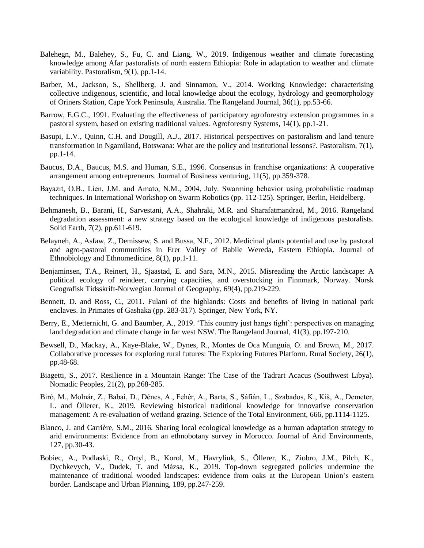- Balehegn, M., Balehey, S., Fu, C. and Liang, W., 2019. Indigenous weather and climate forecasting knowledge among Afar pastoralists of north eastern Ethiopia: Role in adaptation to weather and climate variability. Pastoralism, 9(1), pp.1-14.
- Barber, M., Jackson, S., Shellberg, J. and Sinnamon, V., 2014. Working Knowledge: characterising collective indigenous, scientific, and local knowledge about the ecology, hydrology and geomorphology of Oriners Station, Cape York Peninsula, Australia. The Rangeland Journal, 36(1), pp.53-66.
- Barrow, E.G.C., 1991. Evaluating the effectiveness of participatory agroforestry extension programmes in a pastoral system, based on existing traditional values. Agroforestry Systems, 14(1), pp.1-21.
- Basupi, L.V., Quinn, C.H. and Dougill, A.J., 2017. Historical perspectives on pastoralism and land tenure transformation in Ngamiland, Botswana: What are the policy and institutional lessons?. Pastoralism, 7(1), pp.1-14.
- Baucus, D.A., Baucus, M.S. and Human, S.E., 1996. Consensus in franchise organizations: A cooperative arrangement among entrepreneurs. Journal of Business venturing, 11(5), pp.359-378.
- Bayazıt, O.B., Lien, J.M. and Amato, N.M., 2004, July. Swarming behavior using probabilistic roadmap techniques. In International Workshop on Swarm Robotics (pp. 112-125). Springer, Berlin, Heidelberg.
- Behmanesh, B., Barani, H., Sarvestani, A.A., Shahraki, M.R. and Sharafatmandrad, M., 2016. Rangeland degradation assessment: a new strategy based on the ecological knowledge of indigenous pastoralists. Solid Earth, 7(2), pp.611-619.
- Belayneh, A., Asfaw, Z., Demissew, S. and Bussa, N.F., 2012. Medicinal plants potential and use by pastoral and agro-pastoral communities in Erer Valley of Babile Wereda, Eastern Ethiopia. Journal of Ethnobiology and Ethnomedicine, 8(1), pp.1-11.
- Benjaminsen, T.A., Reinert, H., Sjaastad, E. and Sara, M.N., 2015. Misreading the Arctic landscape: A political ecology of reindeer, carrying capacities, and overstocking in Finnmark, Norway. Norsk Geografisk Tidsskrift-Norwegian Journal of Geography, 69(4), pp.219-229.
- Bennett, D. and Ross, C., 2011. Fulani of the highlands: Costs and benefits of living in national park enclaves. In Primates of Gashaka (pp. 283-317). Springer, New York, NY.
- Berry, E., Metternicht, G. and Baumber, A., 2019. 'This country just hangs tight': perspectives on managing land degradation and climate change in far west NSW. The Rangeland Journal, 41(3), pp.197-210.
- Bewsell, D., Mackay, A., Kaye-Blake, W., Dynes, R., Montes de Oca Munguia, O. and Brown, M., 2017. Collaborative processes for exploring rural futures: The Exploring Futures Platform. Rural Society, 26(1), pp.48-68.
- Biagetti, S., 2017. Resilience in a Mountain Range: The Case of the Tadrart Acacus (Southwest Libya). Nomadic Peoples, 21(2), pp.268-285.
- Biró, M., Molnár, Z., Babai, D., Dénes, A., Fehér, A., Barta, S., Sáfián, L., Szabados, K., Kiš, A., Demeter, L. and Öllerer, K., 2019. Reviewing historical traditional knowledge for innovative conservation management: A re-evaluation of wetland grazing. Science of the Total Environment, 666, pp.1114-1125.
- Blanco, J. and Carrière, S.M., 2016. Sharing local ecological knowledge as a human adaptation strategy to arid environments: Evidence from an ethnobotany survey in Morocco. Journal of Arid Environments, 127, pp.30-43.
- Bobiec, A., Podlaski, R., Ortyl, B., Korol, M., Havryliuk, S., Öllerer, K., Ziobro, J.M., Pilch, K., Dychkevych, V., Dudek, T. and Mázsa, K., 2019. Top-down segregated policies undermine the maintenance of traditional wooded landscapes: evidence from oaks at the European Union's eastern border. Landscape and Urban Planning, 189, pp.247-259.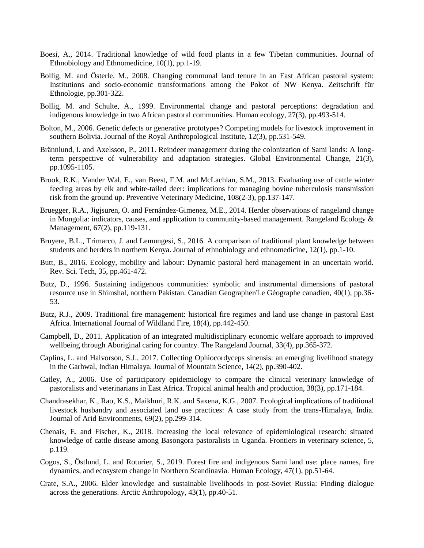- Boesi, A., 2014. Traditional knowledge of wild food plants in a few Tibetan communities. Journal of Ethnobiology and Ethnomedicine, 10(1), pp.1-19.
- Bollig, M. and Österle, M., 2008. Changing communal land tenure in an East African pastoral system: Institutions and socio-economic transformations among the Pokot of NW Kenya. Zeitschrift für Ethnologie, pp.301-322.
- Bollig, M. and Schulte, A., 1999. Environmental change and pastoral perceptions: degradation and indigenous knowledge in two African pastoral communities. Human ecology, 27(3), pp.493-514.
- Bolton, M., 2006. Genetic defects or generative prototypes? Competing models for livestock improvement in southern Bolivia. Journal of the Royal Anthropological Institute, 12(3), pp.531-549.
- Brännlund, I. and Axelsson, P., 2011. Reindeer management during the colonization of Sami lands: A longterm perspective of vulnerability and adaptation strategies. Global Environmental Change, 21(3), pp.1095-1105.
- Brook, R.K., Vander Wal, E., van Beest, F.M. and McLachlan, S.M., 2013. Evaluating use of cattle winter feeding areas by elk and white-tailed deer: implications for managing bovine tuberculosis transmission risk from the ground up. Preventive Veterinary Medicine, 108(2-3), pp.137-147.
- Bruegger, R.A., Jigjsuren, O. and Fernández-Gimenez, M.E., 2014. Herder observations of rangeland change in Mongolia: indicators, causes, and application to community-based management. Rangeland Ecology  $\&$ Management, 67(2), pp.119-131.
- Bruyere, B.L., Trimarco, J. and Lemungesi, S., 2016. A comparison of traditional plant knowledge between students and herders in northern Kenya. Journal of ethnobiology and ethnomedicine, 12(1), pp.1-10.
- Butt, B., 2016. Ecology, mobility and labour: Dynamic pastoral herd management in an uncertain world. Rev. Sci. Tech, 35, pp.461-472.
- Butz, D., 1996. Sustaining indigenous communities: symbolic and instrumental dimensions of pastoral resource use in Shimshal, northern Pakistan. Canadian Geographer/Le Géographe canadien, 40(1), pp.36- 53.
- Butz, R.J., 2009. Traditional fire management: historical fire regimes and land use change in pastoral East Africa. International Journal of Wildland Fire, 18(4), pp.442-450.
- Campbell, D., 2011. Application of an integrated multidisciplinary economic welfare approach to improved wellbeing through Aboriginal caring for country. The Rangeland Journal, 33(4), pp.365-372.
- Caplins, L. and Halvorson, S.J., 2017. Collecting Ophiocordyceps sinensis: an emerging livelihood strategy in the Garhwal, Indian Himalaya. Journal of Mountain Science, 14(2), pp.390-402.
- Catley, A., 2006. Use of participatory epidemiology to compare the clinical veterinary knowledge of pastoralists and veterinarians in East Africa. Tropical animal health and production, 38(3), pp.171-184.
- Chandrasekhar, K., Rao, K.S., Maikhuri, R.K. and Saxena, K.G., 2007. Ecological implications of traditional livestock husbandry and associated land use practices: A case study from the trans-Himalaya, India. Journal of Arid Environments, 69(2), pp.299-314.
- Chenais, E. and Fischer, K., 2018. Increasing the local relevance of epidemiological research: situated knowledge of cattle disease among Basongora pastoralists in Uganda. Frontiers in veterinary science, 5, p.119.
- Cogos, S., Östlund, L. and Roturier, S., 2019. Forest fire and indigenous Sami land use: place names, fire dynamics, and ecosystem change in Northern Scandinavia. Human Ecology, 47(1), pp.51-64.
- Crate, S.A., 2006. Elder knowledge and sustainable livelihoods in post-Soviet Russia: Finding dialogue across the generations. Arctic Anthropology, 43(1), pp.40-51.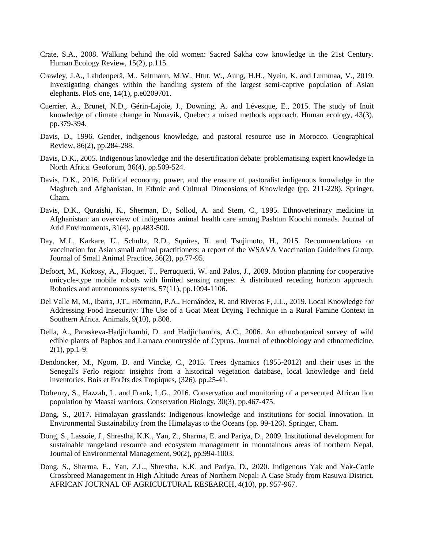- Crate, S.A., 2008. Walking behind the old women: Sacred Sakha cow knowledge in the 21st Century. Human Ecology Review, 15(2), p.115.
- Crawley, J.A., Lahdenperä, M., Seltmann, M.W., Htut, W., Aung, H.H., Nyein, K. and Lummaa, V., 2019. Investigating changes within the handling system of the largest semi-captive population of Asian elephants. PloS one, 14(1), p.e0209701.
- Cuerrier, A., Brunet, N.D., Gérin-Lajoie, J., Downing, A. and Lévesque, E., 2015. The study of Inuit knowledge of climate change in Nunavik, Quebec: a mixed methods approach. Human ecology, 43(3), pp.379-394.
- Davis, D., 1996. Gender, indigenous knowledge, and pastoral resource use in Morocco. Geographical Review, 86(2), pp.284-288.
- Davis, D.K., 2005. Indigenous knowledge and the desertification debate: problematising expert knowledge in North Africa. Geoforum, 36(4), pp.509-524.
- Davis, D.K., 2016. Political economy, power, and the erasure of pastoralist indigenous knowledge in the Maghreb and Afghanistan. In Ethnic and Cultural Dimensions of Knowledge (pp. 211-228). Springer, Cham.
- Davis, D.K., Quraishi, K., Sherman, D., Sollod, A. and Stem, C., 1995. Ethnoveterinary medicine in Afghanistan: an overview of indigenous animal health care among Pashtun Koochi nomads. Journal of Arid Environments, 31(4), pp.483-500.
- Day, M.J., Karkare, U., Schultz, R.D., Squires, R. and Tsujimoto, H., 2015. Recommendations on vaccination for Asian small animal practitioners: a report of the WSAVA Vaccination Guidelines Group. Journal of Small Animal Practice, 56(2), pp.77-95.
- Defoort, M., Kokosy, A., Floquet, T., Perruquetti, W. and Palos, J., 2009. Motion planning for cooperative unicycle-type mobile robots with limited sensing ranges: A distributed receding horizon approach. Robotics and autonomous systems, 57(11), pp.1094-1106.
- Del Valle M, M., Ibarra, J.T., Hörmann, P.A., Hernández, R. and Riveros F, J.L., 2019. Local Knowledge for Addressing Food Insecurity: The Use of a Goat Meat Drying Technique in a Rural Famine Context in Southern Africa. Animals, 9(10), p.808.
- Della, A., Paraskeva-Hadjichambi, D. and Hadjichambis, A.C., 2006. An ethnobotanical survey of wild edible plants of Paphos and Larnaca countryside of Cyprus. Journal of ethnobiology and ethnomedicine, 2(1), pp.1-9.
- Dendoncker, M., Ngom, D. and Vincke, C., 2015. Trees dynamics (1955-2012) and their uses in the Senegal's Ferlo region: insights from a historical vegetation database, local knowledge and field inventories. Bois et Forêts des Tropiques, (326), pp.25-41.
- Dolrenry, S., Hazzah, L. and Frank, L.G., 2016. Conservation and monitoring of a persecuted African lion population by Maasai warriors. Conservation Biology, 30(3), pp.467-475.
- Dong, S., 2017. Himalayan grasslands: Indigenous knowledge and institutions for social innovation. In Environmental Sustainability from the Himalayas to the Oceans (pp. 99-126). Springer, Cham.
- Dong, S., Lassoie, J., Shrestha, K.K., Yan, Z., Sharma, E. and Pariya, D., 2009. Institutional development for sustainable rangeland resource and ecosystem management in mountainous areas of northern Nepal. Journal of Environmental Management, 90(2), pp.994-1003.
- Dong, S., Sharma, E., Yan, Z.L., Shrestha, K.K. and Pariya, D., 2020. Indigenous Yak and Yak‐Cattle Crossbreed Management in High Altitude Areas of Northern Nepal: A Case Study from Rasuwa District. AFRICAN JOURNAL OF AGRICULTURAL RESEARCH, 4(10), pp. 957-967.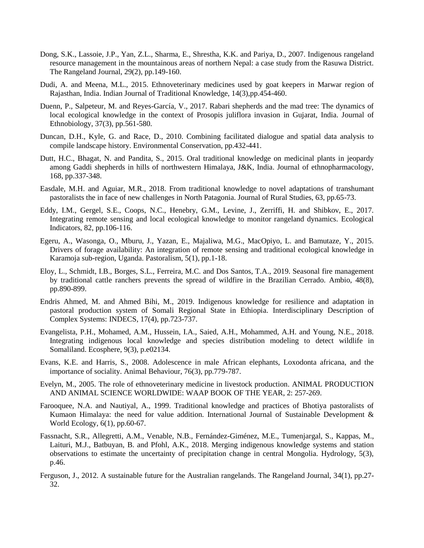- Dong, S.K., Lassoie, J.P., Yan, Z.L., Sharma, E., Shrestha, K.K. and Pariya, D., 2007. Indigenous rangeland resource management in the mountainous areas of northern Nepal: a case study from the Rasuwa District. The Rangeland Journal, 29(2), pp.149-160.
- Dudi, A. and Meena, M.L., 2015. Ethnoveterinary medicines used by goat keepers in Marwar region of Rajasthan, India. Indian Journal of Traditional Knowledge, 14(3),pp.454-460.
- Duenn, P., Salpeteur, M. and Reyes-García, V., 2017. Rabari shepherds and the mad tree: The dynamics of local ecological knowledge in the context of Prosopis juliflora invasion in Gujarat, India. Journal of Ethnobiology, 37(3), pp.561-580.
- Duncan, D.H., Kyle, G. and Race, D., 2010. Combining facilitated dialogue and spatial data analysis to compile landscape history. Environmental Conservation, pp.432-441.
- Dutt, H.C., Bhagat, N. and Pandita, S., 2015. Oral traditional knowledge on medicinal plants in jeopardy among Gaddi shepherds in hills of northwestern Himalaya, J&K, India. Journal of ethnopharmacology, 168, pp.337-348.
- Easdale, M.H. and Aguiar, M.R., 2018. From traditional knowledge to novel adaptations of transhumant pastoralists the in face of new challenges in North Patagonia. Journal of Rural Studies, 63, pp.65-73.
- Eddy, I.M., Gergel, S.E., Coops, N.C., Henebry, G.M., Levine, J., Zerriffi, H. and Shibkov, E., 2017. Integrating remote sensing and local ecological knowledge to monitor rangeland dynamics. Ecological Indicators, 82, pp.106-116.
- Egeru, A., Wasonga, O., Mburu, J., Yazan, E., Majaliwa, M.G., MacOpiyo, L. and Bamutaze, Y., 2015. Drivers of forage availability: An integration of remote sensing and traditional ecological knowledge in Karamoja sub-region, Uganda. Pastoralism, 5(1), pp.1-18.
- Eloy, L., Schmidt, I.B., Borges, S.L., Ferreira, M.C. and Dos Santos, T.A., 2019. Seasonal fire management by traditional cattle ranchers prevents the spread of wildfire in the Brazilian Cerrado. Ambio, 48(8), pp.890-899.
- Endris Ahmed, M. and Ahmed Bihi, M., 2019. Indigenous knowledge for resilience and adaptation in pastoral production system of Somali Regional State in Ethiopia. Interdisciplinary Description of Complex Systems: INDECS, 17(4), pp.723-737.
- Evangelista, P.H., Mohamed, A.M., Hussein, I.A., Saied, A.H., Mohammed, A.H. and Young, N.E., 2018. Integrating indigenous local knowledge and species distribution modeling to detect wildlife in Somaliland. Ecosphere, 9(3), p.e02134.
- Evans, K.E. and Harris, S., 2008. Adolescence in male African elephants, Loxodonta africana, and the importance of sociality. Animal Behaviour, 76(3), pp.779-787.
- Evelyn, M., 2005. The role of ethnoveterinary medicine in livestock production. ANIMAL PRODUCTION AND ANIMAL SCIENCE WORLDWIDE: WAAP BOOK OF THE YEAR, 2: 257-269.
- Farooquee, N.A. and Nautiyal, A., 1999. Traditional knowledge and practices of Bhotiya pastoralists of Kumaon Himalaya: the need for value addition. International Journal of Sustainable Development & World Ecology, 6(1), pp.60-67.
- Fassnacht, S.R., Allegretti, A.M., Venable, N.B., Fernández-Giménez, M.E., Tumenjargal, S., Kappas, M., Laituri, M.J., Batbuyan, B. and Pfohl, A.K., 2018. Merging indigenous knowledge systems and station observations to estimate the uncertainty of precipitation change in central Mongolia. Hydrology, 5(3), p.46.
- Ferguson, J., 2012. A sustainable future for the Australian rangelands. The Rangeland Journal, 34(1), pp.27- 32.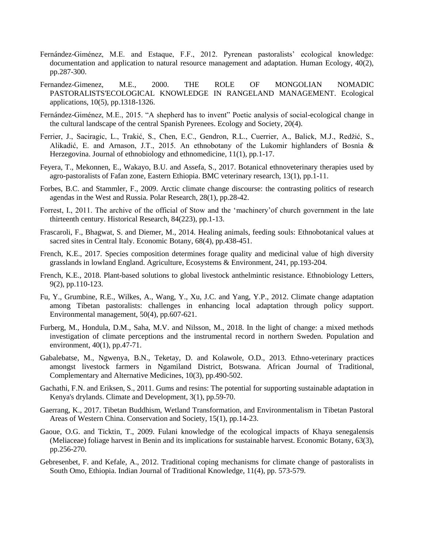- Fernández-Giménez, M.E. and Estaque, F.F., 2012. Pyrenean pastoralists' ecological knowledge: documentation and application to natural resource management and adaptation. Human Ecology, 40(2), pp.287-300.
- Fernandez-Gimenez, M.E., 2000. THE ROLE OF MONGOLIAN NOMADIC PASTORALISTS'ECOLOGICAL KNOWLEDGE IN RANGELAND MANAGEMENT. Ecological applications, 10(5), pp.1318-1326.
- Fernández-Giménez, M.E., 2015. "A shepherd has to invent" Poetic analysis of social-ecological change in the cultural landscape of the central Spanish Pyrenees. Ecology and Society, 20(4).
- Ferrier, J., Saciragic, L., Trakić, S., Chen, E.C., Gendron, R.L., Cuerrier, A., Balick, M.J., Redžić, S., Alikadić, E. and Arnason, J.T., 2015. An ethnobotany of the Lukomir highlanders of Bosnia & Herzegovina. Journal of ethnobiology and ethnomedicine, 11(1), pp.1-17.
- Feyera, T., Mekonnen, E., Wakayo, B.U. and Assefa, S., 2017. Botanical ethnoveterinary therapies used by agro-pastoralists of Fafan zone, Eastern Ethiopia. BMC veterinary research, 13(1), pp.1-11.
- Forbes, B.C. and Stammler, F., 2009. Arctic climate change discourse: the contrasting politics of research agendas in the West and Russia. Polar Research, 28(1), pp.28-42.
- Forrest, I., 2011. The archive of the official of Stow and the 'machinery'of church government in the late thirteenth century. Historical Research, 84(223), pp.1-13.
- Frascaroli, F., Bhagwat, S. and Diemer, M., 2014. Healing animals, feeding souls: Ethnobotanical values at sacred sites in Central Italy. Economic Botany, 68(4), pp.438-451.
- French, K.E., 2017. Species composition determines forage quality and medicinal value of high diversity grasslands in lowland England. Agriculture, Ecosystems & Environment, 241, pp.193-204.
- French, K.E., 2018. Plant-based solutions to global livestock anthelmintic resistance. Ethnobiology Letters, 9(2), pp.110-123.
- Fu, Y., Grumbine, R.E., Wilkes, A., Wang, Y., Xu, J.C. and Yang, Y.P., 2012. Climate change adaptation among Tibetan pastoralists: challenges in enhancing local adaptation through policy support. Environmental management, 50(4), pp.607-621.
- Furberg, M., Hondula, D.M., Saha, M.V. and Nilsson, M., 2018. In the light of change: a mixed methods investigation of climate perceptions and the instrumental record in northern Sweden. Population and environment, 40(1), pp.47-71.
- Gabalebatse, M., Ngwenya, B.N., Teketay, D. and Kolawole, O.D., 2013. Ethno-veterinary practices amongst livestock farmers in Ngamiland District, Botswana. African Journal of Traditional, Complementary and Alternative Medicines, 10(3), pp.490-502.
- Gachathi, F.N. and Eriksen, S., 2011. Gums and resins: The potential for supporting sustainable adaptation in Kenya's drylands. Climate and Development, 3(1), pp.59-70.
- Gaerrang, K., 2017. Tibetan Buddhism, Wetland Transformation, and Environmentalism in Tibetan Pastoral Areas of Western China. Conservation and Society, 15(1), pp.14-23.
- Gaoue, O.G. and Ticktin, T., 2009. Fulani knowledge of the ecological impacts of Khaya senegalensis (Meliaceae) foliage harvest in Benin and its implications for sustainable harvest. Economic Botany, 63(3), pp.256-270.
- Gebresenbet, F. and Kefale, A., 2012. Traditional coping mechanisms for climate change of pastoralists in South Omo, Ethiopia. Indian Journal of Traditional Knowledge, 11(4), pp. 573-579.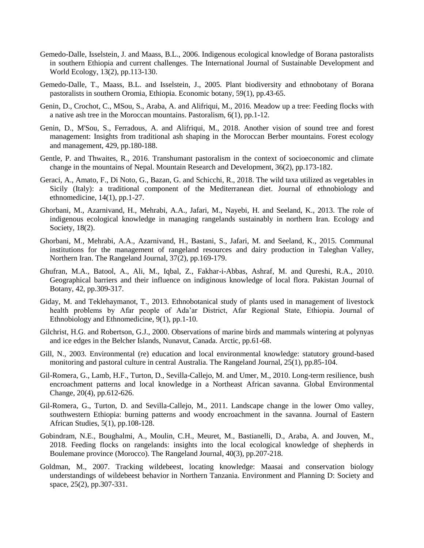- Gemedo-Dalle, Isselstein, J. and Maass, B.L., 2006. Indigenous ecological knowledge of Borana pastoralists in southern Ethiopia and current challenges. The International Journal of Sustainable Development and World Ecology, 13(2), pp.113-130.
- Gemedo-Dalle, T., Maass, B.L. and Isselstein, J., 2005. Plant biodiversity and ethnobotany of Borana pastoralists in southern Oromia, Ethiopia. Economic botany, 59(1), pp.43-65.
- Genin, D., Crochot, C., MSou, S., Araba, A. and Alifriqui, M., 2016. Meadow up a tree: Feeding flocks with a native ash tree in the Moroccan mountains. Pastoralism, 6(1), pp.1-12.
- Genin, D., M'Sou, S., Ferradous, A. and Alifriqui, M., 2018. Another vision of sound tree and forest management: Insights from traditional ash shaping in the Moroccan Berber mountains. Forest ecology and management, 429, pp.180-188.
- Gentle, P. and Thwaites, R., 2016. Transhumant pastoralism in the context of socioeconomic and climate change in the mountains of Nepal. Mountain Research and Development, 36(2), pp.173-182.
- Geraci, A., Amato, F., Di Noto, G., Bazan, G. and Schicchi, R., 2018. The wild taxa utilized as vegetables in Sicily (Italy): a traditional component of the Mediterranean diet. Journal of ethnobiology and ethnomedicine, 14(1), pp.1-27.
- Ghorbani, M., Azarnivand, H., Mehrabi, A.A., Jafari, M., Nayebi, H. and Seeland, K., 2013. The role of indigenous ecological knowledge in managing rangelands sustainably in northern Iran. Ecology and Society, 18(2).
- Ghorbani, M., Mehrabi, A.A., Azarnivand, H., Bastani, S., Jafari, M. and Seeland, K., 2015. Communal institutions for the management of rangeland resources and dairy production in Taleghan Valley, Northern Iran. The Rangeland Journal, 37(2), pp.169-179.
- Ghufran, M.A., Batool, A., Ali, M., Iqbal, Z., Fakhar-i-Abbas, Ashraf, M. and Qureshi, R.A., 2010. Geographical barriers and their influence on indiginous knowledge of local flora. Pakistan Journal of Botany, 42, pp.309-317.
- Giday, M. and Teklehaymanot, T., 2013. Ethnobotanical study of plants used in management of livestock health problems by Afar people of Ada'ar District, Afar Regional State, Ethiopia. Journal of Ethnobiology and Ethnomedicine, 9(1), pp.1-10.
- Gilchrist, H.G. and Robertson, G.J., 2000. Observations of marine birds and mammals wintering at polynyas and ice edges in the Belcher Islands, Nunavut, Canada. Arctic, pp.61-68.
- Gill, N., 2003. Environmental (re) education and local environmental knowledge: statutory ground-based monitoring and pastoral culture in central Australia. The Rangeland Journal, 25(1), pp.85-104.
- Gil-Romera, G., Lamb, H.F., Turton, D., Sevilla-Callejo, M. and Umer, M., 2010. Long-term resilience, bush encroachment patterns and local knowledge in a Northeast African savanna. Global Environmental Change, 20(4), pp.612-626.
- Gil-Romera, G., Turton, D. and Sevilla-Callejo, M., 2011. Landscape change in the lower Omo valley, southwestern Ethiopia: burning patterns and woody encroachment in the savanna. Journal of Eastern African Studies, 5(1), pp.108-128.
- Gobindram, N.E., Boughalmi, A., Moulin, C.H., Meuret, M., Bastianelli, D., Araba, A. and Jouven, M., 2018. Feeding flocks on rangelands: insights into the local ecological knowledge of shepherds in Boulemane province (Morocco). The Rangeland Journal, 40(3), pp.207-218.
- Goldman, M., 2007. Tracking wildebeest, locating knowledge: Maasai and conservation biology understandings of wildebeest behavior in Northern Tanzania. Environment and Planning D: Society and space, 25(2), pp.307-331.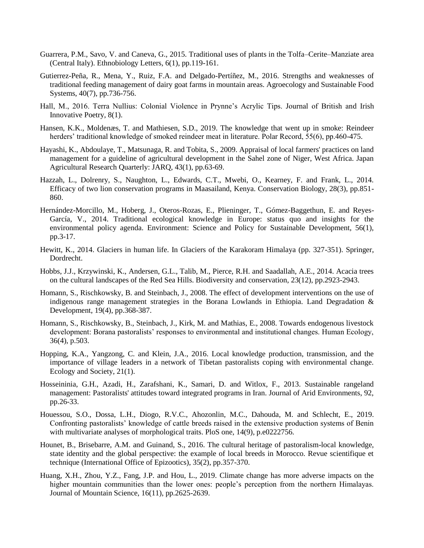- Guarrera, P.M., Savo, V. and Caneva, G., 2015. Traditional uses of plants in the Tolfa–Cerite–Manziate area (Central Italy). Ethnobiology Letters, 6(1), pp.119-161.
- Gutierrez-Peña, R., Mena, Y., Ruiz, F.A. and Delgado-Pertíñez, M., 2016. Strengths and weaknesses of traditional feeding management of dairy goat farms in mountain areas. Agroecology and Sustainable Food Systems, 40(7), pp.736-756.
- Hall, M., 2016. Terra Nullius: Colonial Violence in Prynne's Acrylic Tips. Journal of British and Irish Innovative Poetry, 8(1).
- Hansen, K.K., Moldenæs, T. and Mathiesen, S.D., 2019. The knowledge that went up in smoke: Reindeer herders' traditional knowledge of smoked reindeer meat in literature. Polar Record, 55(6), pp.460-475.
- Hayashi, K., Abdoulaye, T., Matsunaga, R. and Tobita, S., 2009. Appraisal of local farmers' practices on land management for a guideline of agricultural development in the Sahel zone of Niger, West Africa. Japan Agricultural Research Quarterly: JARQ, 43(1), pp.63-69.
- Hazzah, L., Dolrenry, S., Naughton, L., Edwards, C.T., Mwebi, O., Kearney, F. and Frank, L., 2014. Efficacy of two lion conservation programs in Maasailand, Kenya. Conservation Biology, 28(3), pp.851- 860.
- Hernández-Morcillo, M., Hoberg, J., Oteros-Rozas, E., Plieninger, T., Gómez-Baggethun, E. and Reyes-García, V., 2014. Traditional ecological knowledge in Europe: status quo and insights for the environmental policy agenda. Environment: Science and Policy for Sustainable Development, 56(1), pp.3-17.
- Hewitt, K., 2014. Glaciers in human life. In Glaciers of the Karakoram Himalaya (pp. 327-351). Springer, Dordrecht.
- Hobbs, J.J., Krzywinski, K., Andersen, G.L., Talib, M., Pierce, R.H. and Saadallah, A.E., 2014. Acacia trees on the cultural landscapes of the Red Sea Hills. Biodiversity and conservation, 23(12), pp.2923-2943.
- Homann, S., Rischkowsky, B. and Steinbach, J., 2008. The effect of development interventions on the use of indigenous range management strategies in the Borana Lowlands in Ethiopia. Land Degradation & Development, 19(4), pp.368-387.
- Homann, S., Rischkowsky, B., Steinbach, J., Kirk, M. and Mathias, E., 2008. Towards endogenous livestock development: Borana pastoralists' responses to environmental and institutional changes. Human Ecology, 36(4), p.503.
- Hopping, K.A., Yangzong, C. and Klein, J.A., 2016. Local knowledge production, transmission, and the importance of village leaders in a network of Tibetan pastoralists coping with environmental change. Ecology and Society, 21(1).
- Hosseininia, G.H., Azadi, H., Zarafshani, K., Samari, D. and Witlox, F., 2013. Sustainable rangeland management: Pastoralists' attitudes toward integrated programs in Iran. Journal of Arid Environments, 92, pp.26-33.
- Houessou, S.O., Dossa, L.H., Diogo, R.V.C., Ahozonlin, M.C., Dahouda, M. and Schlecht, E., 2019. Confronting pastoralists' knowledge of cattle breeds raised in the extensive production systems of Benin with multivariate analyses of morphological traits. PloS one, 14(9), p.e0222756.
- Hounet, B., Brisebarre, A.M. and Guinand, S., 2016. The cultural heritage of pastoralism-local knowledge, state identity and the global perspective: the example of local breeds in Morocco. Revue scientifique et technique (International Office of Epizootics), 35(2), pp.357-370.
- Huang, X.H., Zhou, Y.Z., Fang, J.P. and Hou, L., 2019. Climate change has more adverse impacts on the higher mountain communities than the lower ones: people's perception from the northern Himalayas. Journal of Mountain Science, 16(11), pp.2625-2639.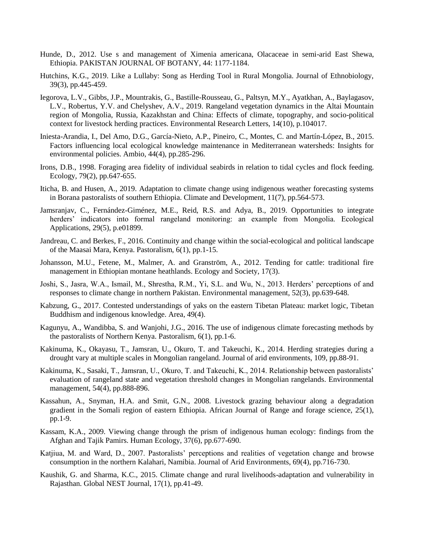- Hunde, D., 2012. Use s and management of Ximenia americana, Olacaceae in semi-arid East Shewa, Ethiopia. PAKISTAN JOURNAL OF BOTANY, 44: 1177-1184.
- Hutchins, K.G., 2019. Like a Lullaby: Song as Herding Tool in Rural Mongolia. Journal of Ethnobiology, 39(3), pp.445-459.
- Iegorova, L.V., Gibbs, J.P., Mountrakis, G., Bastille-Rousseau, G., Paltsyn, M.Y., Ayatkhan, A., Baylagasov, L.V., Robertus, Y.V. and Chelyshev, A.V., 2019. Rangeland vegetation dynamics in the Altai Mountain region of Mongolia, Russia, Kazakhstan and China: Effects of climate, topography, and socio-political context for livestock herding practices. Environmental Research Letters, 14(10), p.104017.
- Iniesta-Arandia, I., Del Amo, D.G., García-Nieto, A.P., Pineiro, C., Montes, C. and Martín-López, B., 2015. Factors influencing local ecological knowledge maintenance in Mediterranean watersheds: Insights for environmental policies. Ambio, 44(4), pp.285-296.
- Irons, D.B., 1998. Foraging area fidelity of individual seabirds in relation to tidal cycles and flock feeding. Ecology, 79(2), pp.647-655.
- Iticha, B. and Husen, A., 2019. Adaptation to climate change using indigenous weather forecasting systems in Borana pastoralists of southern Ethiopia. Climate and Development, 11(7), pp.564-573.
- Jamsranjav, C., Fernández-Giménez, M.E., Reid, R.S. and Adya, B., 2019. Opportunities to integrate herders' indicators into formal rangeland monitoring: an example from Mongolia. Ecological Applications, 29(5), p.e01899.
- Jandreau, C. and Berkes, F., 2016. Continuity and change within the social-ecological and political landscape of the Maasai Mara, Kenya. Pastoralism, 6(1), pp.1-15.
- Johansson, M.U., Fetene, M., Malmer, A. and Granström, A., 2012. Tending for cattle: traditional fire management in Ethiopian montane heathlands. Ecology and Society, 17(3).
- Joshi, S., Jasra, W.A., Ismail, M., Shrestha, R.M., Yi, S.L. and Wu, N., 2013. Herders' perceptions of and responses to climate change in northern Pakistan. Environmental management, 52(3), pp.639-648.
- Kabzung, G., 2017. Contested understandings of yaks on the eastern Tibetan Plateau: market logic, Tibetan Buddhism and indigenous knowledge. Area, 49(4).
- Kagunyu, A., Wandibba, S. and Wanjohi, J.G., 2016. The use of indigenous climate forecasting methods by the pastoralists of Northern Kenya. Pastoralism, 6(1), pp.1-6.
- Kakinuma, K., Okayasu, T., Jamsran, U., Okuro, T. and Takeuchi, K., 2014. Herding strategies during a drought vary at multiple scales in Mongolian rangeland. Journal of arid environments, 109, pp.88-91.
- Kakinuma, K., Sasaki, T., Jamsran, U., Okuro, T. and Takeuchi, K., 2014. Relationship between pastoralists' evaluation of rangeland state and vegetation threshold changes in Mongolian rangelands. Environmental management, 54(4), pp.888-896.
- Kassahun, A., Snyman, H.A. and Smit, G.N., 2008. Livestock grazing behaviour along a degradation gradient in the Somali region of eastern Ethiopia. African Journal of Range and forage science, 25(1), pp.1-9.
- Kassam, K.A., 2009. Viewing change through the prism of indigenous human ecology: findings from the Afghan and Tajik Pamirs. Human Ecology, 37(6), pp.677-690.
- Katjiua, M. and Ward, D., 2007. Pastoralists' perceptions and realities of vegetation change and browse consumption in the northern Kalahari, Namibia. Journal of Arid Environments, 69(4), pp.716-730.
- Kaushik, G. and Sharma, K.C., 2015. Climate change and rural livelihoods-adaptation and vulnerability in Rajasthan. Global NEST Journal, 17(1), pp.41-49.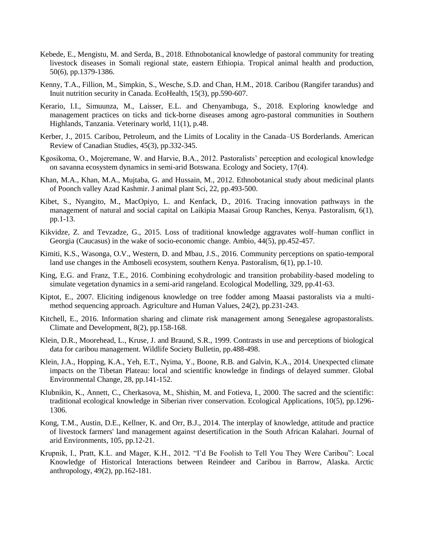- Kebede, E., Mengistu, M. and Serda, B., 2018. Ethnobotanical knowledge of pastoral community for treating livestock diseases in Somali regional state, eastern Ethiopia. Tropical animal health and production, 50(6), pp.1379-1386.
- Kenny, T.A., Fillion, M., Simpkin, S., Wesche, S.D. and Chan, H.M., 2018. Caribou (Rangifer tarandus) and Inuit nutrition security in Canada. EcoHealth, 15(3), pp.590-607.
- Kerario, I.I., Simuunza, M., Laisser, E.L. and Chenyambuga, S., 2018. Exploring knowledge and management practices on ticks and tick-borne diseases among agro-pastoral communities in Southern Highlands, Tanzania. Veterinary world, 11(1), p.48.
- Kerber, J., 2015. Caribou, Petroleum, and the Limits of Locality in the Canada–US Borderlands. American Review of Canadian Studies, 45(3), pp.332-345.
- Kgosikoma, O., Mojeremane, W. and Harvie, B.A., 2012. Pastoralists' perception and ecological knowledge on savanna ecosystem dynamics in semi-arid Botswana. Ecology and Society, 17(4).
- Khan, M.A., Khan, M.A., Mujtaba, G. and Hussain, M., 2012. Ethnobotanical study about medicinal plants of Poonch valley Azad Kashmir. J animal plant Sci, 22, pp.493-500.
- Kibet, S., Nyangito, M., MacOpiyo, L. and Kenfack, D., 2016. Tracing innovation pathways in the management of natural and social capital on Laikipia Maasai Group Ranches, Kenya. Pastoralism, 6(1), pp.1-13.
- Kikvidze, Z. and Tevzadze, G., 2015. Loss of traditional knowledge aggravates wolf–human conflict in Georgia (Caucasus) in the wake of socio-economic change. Ambio, 44(5), pp.452-457.
- Kimiti, K.S., Wasonga, O.V., Western, D. and Mbau, J.S., 2016. Community perceptions on spatio-temporal land use changes in the Amboseli ecosystem, southern Kenya. Pastoralism, 6(1), pp.1-10.
- King, E.G. and Franz, T.E., 2016. Combining ecohydrologic and transition probability-based modeling to simulate vegetation dynamics in a semi-arid rangeland. Ecological Modelling, 329, pp.41-63.
- Kiptot, E., 2007. Eliciting indigenous knowledge on tree fodder among Maasai pastoralists via a multimethod sequencing approach. Agriculture and Human Values, 24(2), pp.231-243.
- Kitchell, E., 2016. Information sharing and climate risk management among Senegalese agropastoralists. Climate and Development, 8(2), pp.158-168.
- Klein, D.R., Moorehead, L., Kruse, J. and Braund, S.R., 1999. Contrasts in use and perceptions of biological data for caribou management. Wildlife Society Bulletin, pp.488-498.
- Klein, J.A., Hopping, K.A., Yeh, E.T., Nyima, Y., Boone, R.B. and Galvin, K.A., 2014. Unexpected climate impacts on the Tibetan Plateau: local and scientific knowledge in findings of delayed summer. Global Environmental Change, 28, pp.141-152.
- Klubnikin, K., Annett, C., Cherkasova, M., Shishin, M. and Fotieva, I., 2000. The sacred and the scientific: traditional ecological knowledge in Siberian river conservation. Ecological Applications, 10(5), pp.1296- 1306.
- Kong, T.M., Austin, D.E., Kellner, K. and Orr, B.J., 2014. The interplay of knowledge, attitude and practice of livestock farmers' land management against desertification in the South African Kalahari. Journal of arid Environments, 105, pp.12-21.
- Krupnik, I., Pratt, K.L. and Mager, K.H., 2012. "I'd Be Foolish to Tell You They Were Caribou": Local Knowledge of Historical Interactions between Reindeer and Caribou in Barrow, Alaska. Arctic anthropology, 49(2), pp.162-181.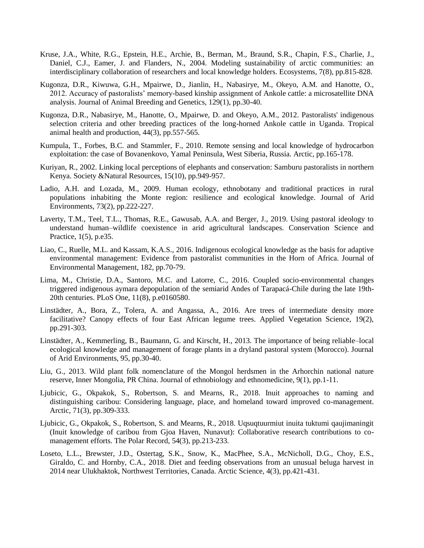- Kruse, J.A., White, R.G., Epstein, H.E., Archie, B., Berman, M., Braund, S.R., Chapin, F.S., Charlie, J., Daniel, C.J., Eamer, J. and Flanders, N., 2004. Modeling sustainability of arctic communities: an interdisciplinary collaboration of researchers and local knowledge holders. Ecosystems, 7(8), pp.815-828.
- Kugonza, D.R., Kiwuwa, G.H., Mpairwe, D., Jianlin, H., Nabasirye, M., Okeyo, A.M. and Hanotte, O., 2012. Accuracy of pastoralists' memory‐based kinship assignment of Ankole cattle: a microsatellite DNA analysis. Journal of Animal Breeding and Genetics, 129(1), pp.30-40.
- Kugonza, D.R., Nabasirye, M., Hanotte, O., Mpairwe, D. and Okeyo, A.M., 2012. Pastoralists' indigenous selection criteria and other breeding practices of the long-horned Ankole cattle in Uganda. Tropical animal health and production, 44(3), pp.557-565.
- Kumpula, T., Forbes, B.C. and Stammler, F., 2010. Remote sensing and local knowledge of hydrocarbon exploitation: the case of Bovanenkovo, Yamal Peninsula, West Siberia, Russia. Arctic, pp.165-178.
- Kuriyan, R., 2002. Linking local perceptions of elephants and conservation: Samburu pastoralists in northern Kenya. Society &Natural Resources, 15(10), pp.949-957.
- Ladio, A.H. and Lozada, M., 2009. Human ecology, ethnobotany and traditional practices in rural populations inhabiting the Monte region: resilience and ecological knowledge. Journal of Arid Environments, 73(2), pp.222-227.
- Laverty, T.M., Teel, T.L., Thomas, R.E., Gawusab, A.A. and Berger, J., 2019. Using pastoral ideology to understand human–wildlife coexistence in arid agricultural landscapes. Conservation Science and Practice, 1(5), p.e35.
- Liao, C., Ruelle, M.L. and Kassam, K.A.S., 2016. Indigenous ecological knowledge as the basis for adaptive environmental management: Evidence from pastoralist communities in the Horn of Africa. Journal of Environmental Management, 182, pp.70-79.
- Lima, M., Christie, D.A., Santoro, M.C. and Latorre, C., 2016. Coupled socio-environmental changes triggered indigenous aymara depopulation of the semiarid Andes of Tarapacá-Chile during the late 19th-20th centuries. PLoS One, 11(8), p.e0160580.
- Linstädter, A., Bora, Z., Tolera, A. and Angassa, A., 2016. Are trees of intermediate density more facilitative? Canopy effects of four East African legume trees. Applied Vegetation Science, 19(2), pp.291-303.
- Linstädter, A., Kemmerling, B., Baumann, G. and Kirscht, H., 2013. The importance of being reliable–local ecological knowledge and management of forage plants in a dryland pastoral system (Morocco). Journal of Arid Environments, 95, pp.30-40.
- Liu, G., 2013. Wild plant folk nomenclature of the Mongol herdsmen in the Arhorchin national nature reserve, Inner Mongolia, PR China. Journal of ethnobiology and ethnomedicine, 9(1), pp.1-11.
- Ljubicic, G., Okpakok, S., Robertson, S. and Mearns, R., 2018. Inuit approaches to naming and distinguishing caribou: Considering language, place, and homeland toward improved co-management. Arctic, 71(3), pp.309-333.
- Ljubicic, G., Okpakok, S., Robertson, S. and Mearns, R., 2018. Uqsuqtuurmiut inuita tuktumi qaujimaningit (Inuit knowledge of caribou from Gjoa Haven, Nunavut): Collaborative research contributions to comanagement efforts. The Polar Record, 54(3), pp.213-233.
- Loseto, L.L., Brewster, J.D., Ostertag, S.K., Snow, K., MacPhee, S.A., McNicholl, D.G., Choy, E.S., Giraldo, C. and Hornby, C.A., 2018. Diet and feeding observations from an unusual beluga harvest in 2014 near Ulukhaktok, Northwest Territories, Canada. Arctic Science, 4(3), pp.421-431.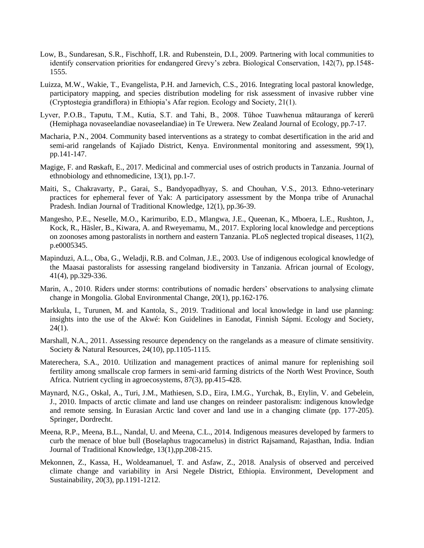- Low, B., Sundaresan, S.R., Fischhoff, I.R. and Rubenstein, D.I., 2009. Partnering with local communities to identify conservation priorities for endangered Grevy's zebra. Biological Conservation, 142(7), pp.1548- 1555.
- Luizza, M.W., Wakie, T., Evangelista, P.H. and Jarnevich, C.S., 2016. Integrating local pastoral knowledge, participatory mapping, and species distribution modeling for risk assessment of invasive rubber vine (Cryptostegia grandiflora) in Ethiopia's Afar region. Ecology and Society, 21(1).
- Lyver, P.O.B., Taputu, T.M., Kutia, S.T. and Tahi, B., 2008. Tūhoe Tuawhenua mātauranga of kererū (Hemiphaga novaseelandiae novaseelandiae) in Te Urewera. New Zealand Journal of Ecology, pp.7-17.
- Macharia, P.N., 2004. Community based interventions as a strategy to combat desertification in the arid and semi-arid rangelands of Kajiado District, Kenya. Environmental monitoring and assessment, 99(1), pp.141-147.
- Magige, F. and Røskaft, E., 2017. Medicinal and commercial uses of ostrich products in Tanzania. Journal of ethnobiology and ethnomedicine, 13(1), pp.1-7.
- Maiti, S., Chakravarty, P., Garai, S., Bandyopadhyay, S. and Chouhan, V.S., 2013. Ethno-veterinary practices for ephemeral fever of Yak: A participatory assessment by the Monpa tribe of Arunachal Pradesh. Indian Journal of Traditional Knowledge, 12(1), pp.36-39.
- Mangesho, P.E., Neselle, M.O., Karimuribo, E.D., Mlangwa, J.E., Queenan, K., Mboera, L.E., Rushton, J., Kock, R., Häsler, B., Kiwara, A. and Rweyemamu, M., 2017. Exploring local knowledge and perceptions on zoonoses among pastoralists in northern and eastern Tanzania. PLoS neglected tropical diseases, 11(2), p.e0005345.
- Mapinduzi, A.L., Oba, G., Weladji, R.B. and Colman, J.E., 2003. Use of indigenous ecological knowledge of the Maasai pastoralists for assessing rangeland biodiversity in Tanzania. African journal of Ecology, 41(4), pp.329-336.
- Marin, A., 2010. Riders under storms: contributions of nomadic herders' observations to analysing climate change in Mongolia. Global Environmental Change, 20(1), pp.162-176.
- Markkula, I., Turunen, M. and Kantola, S., 2019. Traditional and local knowledge in land use planning: insights into the use of the Akwé: Kon Guidelines in Eanodat, Finnish Sápmi. Ecology and Society,  $24(1)$ .
- Marshall, N.A., 2011. Assessing resource dependency on the rangelands as a measure of climate sensitivity. Society & Natural Resources, 24(10), pp.1105-1115.
- Materechera, S.A., 2010. Utilization and management practices of animal manure for replenishing soil fertility among smallscale crop farmers in semi-arid farming districts of the North West Province, South Africa. Nutrient cycling in agroecosystems, 87(3), pp.415-428.
- Maynard, N.G., Oskal, A., Turi, J.M., Mathiesen, S.D., Eira, I.M.G., Yurchak, B., Etylin, V. and Gebelein, J., 2010. Impacts of arctic climate and land use changes on reindeer pastoralism: indigenous knowledge and remote sensing. In Eurasian Arctic land cover and land use in a changing climate (pp. 177-205). Springer, Dordrecht.
- Meena, R.P., Meena, B.L., Nandal, U. and Meena, C.L., 2014. Indigenous measures developed by farmers to curb the menace of blue bull (Boselaphus tragocamelus) in district Rajsamand, Rajasthan, India. Indian Journal of Traditional Knowledge, 13(1),pp.208-215.
- Mekonnen, Z., Kassa, H., Woldeamanuel, T. and Asfaw, Z., 2018. Analysis of observed and perceived climate change and variability in Arsi Negele District, Ethiopia. Environment, Development and Sustainability, 20(3), pp.1191-1212.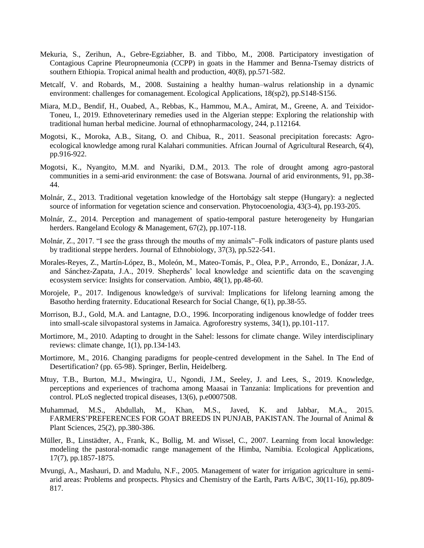- Mekuria, S., Zerihun, A., Gebre-Egziabher, B. and Tibbo, M., 2008. Participatory investigation of Contagious Caprine Pleuropneumonia (CCPP) in goats in the Hammer and Benna-Tsemay districts of southern Ethiopia. Tropical animal health and production, 40(8), pp.571-582.
- Metcalf, V. and Robards, M., 2008. Sustaining a healthy human–walrus relationship in a dynamic environment: challenges for comanagement. Ecological Applications, 18(sp2), pp.S148-S156.
- Miara, M.D., Bendif, H., Ouabed, A., Rebbas, K., Hammou, M.A., Amirat, M., Greene, A. and Teixidor-Toneu, I., 2019. Ethnoveterinary remedies used in the Algerian steppe: Exploring the relationship with traditional human herbal medicine. Journal of ethnopharmacology, 244, p.112164.
- Mogotsi, K., Moroka, A.B., Sitang, O. and Chibua, R., 2011. Seasonal precipitation forecasts: Agroecological knowledge among rural Kalahari communities. African Journal of Agricultural Research, 6(4), pp.916-922.
- Mogotsi, K., Nyangito, M.M. and Nyariki, D.M., 2013. The role of drought among agro-pastoral communities in a semi-arid environment: the case of Botswana. Journal of arid environments, 91, pp.38- 44.
- Molnár, Z., 2013. Traditional vegetation knowledge of the Hortobágy salt steppe (Hungary): a neglected source of information for vegetation science and conservation. Phytocoenologia, 43(3-4), pp.193-205.
- Molnár, Z., 2014. Perception and management of spatio-temporal pasture heterogeneity by Hungarian herders. Rangeland Ecology & Management, 67(2), pp.107-118.
- Molnár, Z., 2017. "I see the grass through the mouths of my animals"–Folk indicators of pasture plants used by traditional steppe herders. Journal of Ethnobiology, 37(3), pp.522-541.
- Morales-Reyes, Z., Martín-López, B., Moleón, M., Mateo-Tomás, P., Olea, P.P., Arrondo, E., Donázar, J.A. and Sánchez-Zapata, J.A., 2019. Shepherds' local knowledge and scientific data on the scavenging ecosystem service: Insights for conservation. Ambio, 48(1), pp.48-60.
- Morojele, P., 2017. Indigenous knowledge/s of survival: Implications for lifelong learning among the Basotho herding fraternity. Educational Research for Social Change, 6(1), pp.38-55.
- Morrison, B.J., Gold, M.A. and Lantagne, D.O., 1996. Incorporating indigenous knowledge of fodder trees into small-scale silvopastoral systems in Jamaica. Agroforestry systems, 34(1), pp.101-117.
- Mortimore, M., 2010. Adapting to drought in the Sahel: lessons for climate change. Wiley interdisciplinary reviews: climate change, 1(1), pp.134-143.
- Mortimore, M., 2016. Changing paradigms for people-centred development in the Sahel. In The End of Desertification? (pp. 65-98). Springer, Berlin, Heidelberg.
- Mtuy, T.B., Burton, M.J., Mwingira, U., Ngondi, J.M., Seeley, J. and Lees, S., 2019. Knowledge, perceptions and experiences of trachoma among Maasai in Tanzania: Implications for prevention and control. PLoS neglected tropical diseases, 13(6), p.e0007508.
- Muhammad, M.S., Abdullah, M., Khan, M.S., Javed, K. and Jabbar, M.A., 2015. FARMERS'PREFERENCES FOR GOAT BREEDS IN PUNJAB, PAKISTAN. The Journal of Animal & Plant Sciences, 25(2), pp.380-386.
- Müller, B., Linstädter, A., Frank, K., Bollig, M. and Wissel, C., 2007. Learning from local knowledge: modeling the pastoral‐nomadic range management of the Himba, Namibia. Ecological Applications, 17(7), pp.1857-1875.
- Mvungi, A., Mashauri, D. and Madulu, N.F., 2005. Management of water for irrigation agriculture in semiarid areas: Problems and prospects. Physics and Chemistry of the Earth, Parts A/B/C, 30(11-16), pp.809- 817.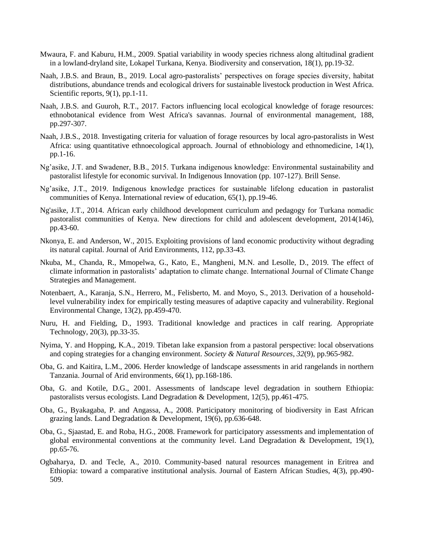- Mwaura, F. and Kaburu, H.M., 2009. Spatial variability in woody species richness along altitudinal gradient in a lowland-dryland site, Lokapel Turkana, Kenya. Biodiversity and conservation, 18(1), pp.19-32.
- Naah, J.B.S. and Braun, B., 2019. Local agro-pastoralists' perspectives on forage species diversity, habitat distributions, abundance trends and ecological drivers for sustainable livestock production in West Africa. Scientific reports, 9(1), pp.1-11.
- Naah, J.B.S. and Guuroh, R.T., 2017. Factors influencing local ecological knowledge of forage resources: ethnobotanical evidence from West Africa's savannas. Journal of environmental management, 188, pp.297-307.
- Naah, J.B.S., 2018. Investigating criteria for valuation of forage resources by local agro-pastoralists in West Africa: using quantitative ethnoecological approach. Journal of ethnobiology and ethnomedicine, 14(1), pp.1-16.
- Ng'asike, J.T. and Swadener, B.B., 2015. Turkana indigenous knowledge: Environmental sustainability and pastoralist lifestyle for economic survival. In Indigenous Innovation (pp. 107-127). Brill Sense.
- Ng'asike, J.T., 2019. Indigenous knowledge practices for sustainable lifelong education in pastoralist communities of Kenya. International review of education, 65(1), pp.19-46.
- Ng'asike, J.T., 2014. African early childhood development curriculum and pedagogy for Turkana nomadic pastoralist communities of Kenya. New directions for child and adolescent development, 2014(146), pp.43-60.
- Nkonya, E. and Anderson, W., 2015. Exploiting provisions of land economic productivity without degrading its natural capital. Journal of Arid Environments, 112, pp.33-43.
- Nkuba, M., Chanda, R., Mmopelwa, G., Kato, E., Mangheni, M.N. and Lesolle, D., 2019. The effect of climate information in pastoralists' adaptation to climate change. International Journal of Climate Change Strategies and Management.
- Notenbaert, A., Karanja, S.N., Herrero, M., Felisberto, M. and Moyo, S., 2013. Derivation of a householdlevel vulnerability index for empirically testing measures of adaptive capacity and vulnerability. Regional Environmental Change, 13(2), pp.459-470.
- Nuru, H. and Fielding, D., 1993. Traditional knowledge and practices in calf rearing. Appropriate Technology, 20(3), pp.33-35.
- Nyima, Y. and Hopping, K.A., 2019. Tibetan lake expansion from a pastoral perspective: local observations and coping strategies for a changing environment. *Society & Natural Resources*, *32*(9), pp.965-982.
- Oba, G. and Kaitira, L.M., 2006. Herder knowledge of landscape assessments in arid rangelands in northern Tanzania. Journal of Arid environments, 66(1), pp.168-186.
- Oba, G. and Kotile, D.G., 2001. Assessments of landscape level degradation in southern Ethiopia: pastoralists versus ecologists. Land Degradation & Development, 12(5), pp.461-475.
- Oba, G., Byakagaba, P. and Angassa, A., 2008. Participatory monitoring of biodiversity in East African grazing lands. Land Degradation & Development, 19(6), pp.636-648.
- Oba, G., Sjaastad, E. and Roba, H.G., 2008. Framework for participatory assessments and implementation of global environmental conventions at the community level. Land Degradation  $\&$  Development, 19(1), pp.65-76.
- Ogbaharya, D. and Tecle, A., 2010. Community-based natural resources management in Eritrea and Ethiopia: toward a comparative institutional analysis. Journal of Eastern African Studies, 4(3), pp.490- 509.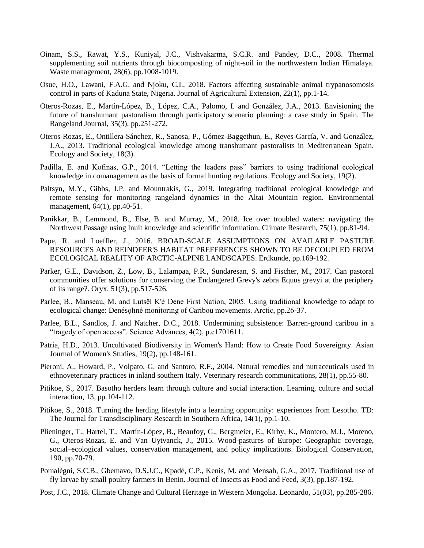- Oinam, S.S., Rawat, Y.S., Kuniyal, J.C., Vishvakarma, S.C.R. and Pandey, D.C., 2008. Thermal supplementing soil nutrients through biocomposting of night-soil in the northwestern Indian Himalaya. Waste management, 28(6), pp.1008-1019.
- Osue, H.O., Lawani, F.A.G. and Njoku, C.I., 2018. Factors affecting sustainable animal trypanosomosis control in parts of Kaduna State, Nigeria. Journal of Agricultural Extension, 22(1), pp.1-14.
- Oteros-Rozas, E., Martín-López, B., López, C.A., Palomo, I. and González, J.A., 2013. Envisioning the future of transhumant pastoralism through participatory scenario planning: a case study in Spain. The Rangeland Journal, 35(3), pp.251-272.
- Oteros-Rozas, E., Ontillera-Sánchez, R., Sanosa, P., Gómez-Baggethun, E., Reyes-García, V. and González, J.A., 2013. Traditional ecological knowledge among transhumant pastoralists in Mediterranean Spain. Ecology and Society, 18(3).
- Padilla, E. and Kofinas, G.P., 2014. "Letting the leaders pass" barriers to using traditional ecological knowledge in comanagement as the basis of formal hunting regulations. Ecology and Society, 19(2).
- Paltsyn, M.Y., Gibbs, J.P. and Mountrakis, G., 2019. Integrating traditional ecological knowledge and remote sensing for monitoring rangeland dynamics in the Altai Mountain region. Environmental management, 64(1), pp.40-51.
- Panikkar, B., Lemmond, B., Else, B. and Murray, M., 2018. Ice over troubled waters: navigating the Northwest Passage using Inuit knowledge and scientific information. Climate Research, 75(1), pp.81-94.
- Pape, R. and Loeffler, J., 2016. BROAD-SCALE ASSUMPTIONS ON AVAILABLE PASTURE RESOURCES AND REINDEER'S HABITAT PREFERENCES SHOWN TO BE DECOUPLED FROM ECOLOGICAL REALITY OF ARCTIC-ALPINE LANDSCAPES. Erdkunde, pp.169-192.
- Parker, G.E., Davidson, Z., Low, B., Lalampaa, P.R., Sundaresan, S. and Fischer, M., 2017. Can pastoral communities offer solutions for conserving the Endangered Grevy's zebra Equus grevyi at the periphery of its range?. Oryx, 51(3), pp.517-526.
- Parlee, B., Manseau, M. and Łutsël K'é Dene First Nation, 2005. Using traditional knowledge to adapt to ecological change: Denésoliné monitoring of Caribou movements. Arctic, pp.26-37.
- Parlee, B.L., Sandlos, J. and Natcher, D.C., 2018. Undermining subsistence: Barren-ground caribou in a "tragedy of open access". Science Advances, 4(2), p.e1701611.
- Patria, H.D., 2013. Uncultivated Biodiversity in Women's Hand: How to Create Food Sovereignty. Asian Journal of Women's Studies, 19(2), pp.148-161.
- Pieroni, A., Howard, P., Volpato, G. and Santoro, R.F., 2004. Natural remedies and nutraceuticals used in ethnoveterinary practices in inland southern Italy. Veterinary research communications, 28(1), pp.55-80.
- Pitikoe, S., 2017. Basotho herders learn through culture and social interaction. Learning, culture and social interaction, 13, pp.104-112.
- Pitikoe, S., 2018. Turning the herding lifestyle into a learning opportunity: experiences from Lesotho. TD: The Journal for Transdisciplinary Research in Southern Africa, 14(1), pp.1-10.
- Plieninger, T., Hartel, T., Martín-López, B., Beaufoy, G., Bergmeier, E., Kirby, K., Montero, M.J., Moreno, G., Oteros-Rozas, E. and Van Uytvanck, J., 2015. Wood-pastures of Europe: Geographic coverage, social–ecological values, conservation management, and policy implications. Biological Conservation, 190, pp.70-79.
- Pomalégni, S.C.B., Gbemavo, D.S.J.C., Kpadé, C.P., Kenis, M. and Mensah, G.A., 2017. Traditional use of fly larvae by small poultry farmers in Benin. Journal of Insects as Food and Feed, 3(3), pp.187-192.
- Post, J.C., 2018. Climate Change and Cultural Heritage in Western Mongolia. Leonardo, 51(03), pp.285-286.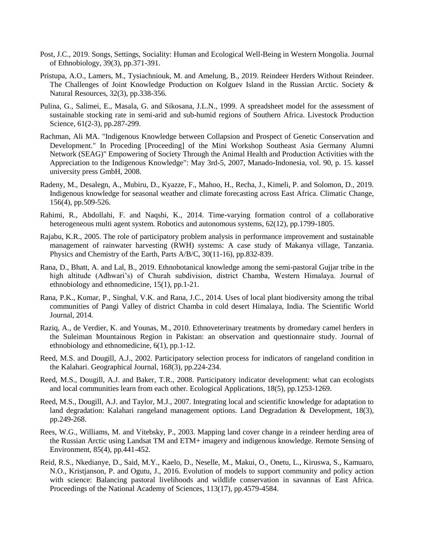- Post, J.C., 2019. Songs, Settings, Sociality: Human and Ecological Well-Being in Western Mongolia. Journal of Ethnobiology, 39(3), pp.371-391.
- Pristupa, A.O., Lamers, M., Tysiachniouk, M. and Amelung, B., 2019. Reindeer Herders Without Reindeer. The Challenges of Joint Knowledge Production on Kolguev Island in the Russian Arctic. Society & Natural Resources, 32(3), pp.338-356.
- Pulina, G., Salimei, E., Masala, G. and Sikosana, J.L.N., 1999. A spreadsheet model for the assessment of sustainable stocking rate in semi-arid and sub-humid regions of Southern Africa. Livestock Production Science, 61(2-3), pp.287-299.
- Rachman, Ali MA. "Indigenous Knowledge between Collapsion and Prospect of Genetic Conservation and Development." In Proceding [Proceeding] of the Mini Workshop Southeast Asia Germany Alumni Network (SEAG)" Empowering of Society Through the Animal Health and Production Activities with the Appreciation to the Indigenous Knowledge": May 3rd-5, 2007, Manado-Indonesia, vol. 90, p. 15. kassel university press GmbH, 2008.
- Radeny, M., Desalegn, A., Mubiru, D., Kyazze, F., Mahoo, H., Recha, J., Kimeli, P. and Solomon, D., 2019. Indigenous knowledge for seasonal weather and climate forecasting across East Africa. Climatic Change, 156(4), pp.509-526.
- Rahimi, R., Abdollahi, F. and Naqshi, K., 2014. Time-varying formation control of a collaborative heterogeneous multi agent system. Robotics and autonomous systems, 62(12), pp.1799-1805.
- Rajabu, K.R., 2005. The role of participatory problem analysis in performance improvement and sustainable management of rainwater harvesting (RWH) systems: A case study of Makanya village, Tanzania. Physics and Chemistry of the Earth, Parts A/B/C, 30(11-16), pp.832-839.
- Rana, D., Bhatt, A. and Lal, B., 2019. Ethnobotanical knowledge among the semi-pastoral Gujjar tribe in the high altitude (Adhwari's) of Churah subdivision, district Chamba, Western Himalaya. Journal of ethnobiology and ethnomedicine, 15(1), pp.1-21.
- Rana, P.K., Kumar, P., Singhal, V.K. and Rana, J.C., 2014. Uses of local plant biodiversity among the tribal communities of Pangi Valley of district Chamba in cold desert Himalaya, India. The Scientific World Journal, 2014.
- Raziq, A., de Verdier, K. and Younas, M., 2010. Ethnoveterinary treatments by dromedary camel herders in the Suleiman Mountainous Region in Pakistan: an observation and questionnaire study. Journal of ethnobiology and ethnomedicine, 6(1), pp.1-12.
- Reed, M.S. and Dougill, A.J., 2002. Participatory selection process for indicators of rangeland condition in the Kalahari. Geographical Journal, 168(3), pp.224-234.
- Reed, M.S., Dougill, A.J. and Baker, T.R., 2008. Participatory indicator development: what can ecologists and local communities learn from each other. Ecological Applications, 18(5), pp.1253-1269.
- Reed, M.S., Dougill, A.J. and Taylor, M.J., 2007. Integrating local and scientific knowledge for adaptation to land degradation: Kalahari rangeland management options. Land Degradation & Development, 18(3), pp.249-268.
- Rees, W.G., Williams, M. and Vitebsky, P., 2003. Mapping land cover change in a reindeer herding area of the Russian Arctic using Landsat TM and ETM+ imagery and indigenous knowledge. Remote Sensing of Environment, 85(4), pp.441-452.
- Reid, R.S., Nkedianye, D., Said, M.Y., Kaelo, D., Neselle, M., Makui, O., Onetu, L., Kiruswa, S., Kamuaro, N.O., Kristjanson, P. and Ogutu, J., 2016. Evolution of models to support community and policy action with science: Balancing pastoral livelihoods and wildlife conservation in savannas of East Africa. Proceedings of the National Academy of Sciences, 113(17), pp.4579-4584.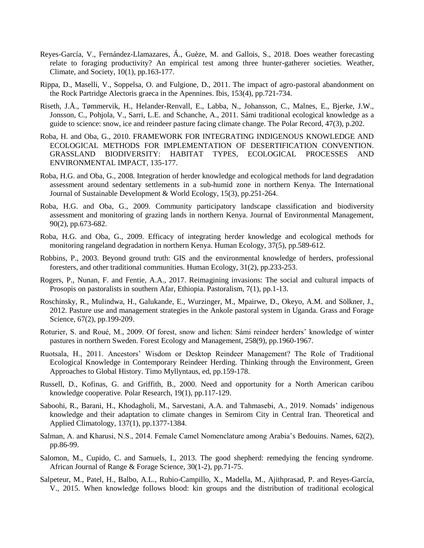- Reyes-García, V., Fernández-Llamazares, Á., Guèze, M. and Gallois, S., 2018. Does weather forecasting relate to foraging productivity? An empirical test among three hunter-gatherer societies. Weather, Climate, and Society, 10(1), pp.163-177.
- Rippa, D., Maselli, V., Soppelsa, O. and Fulgione, D., 2011. The impact of agro‐pastoral abandonment on the Rock Partridge Alectoris graeca in the Apennines. Ibis, 153(4), pp.721-734.
- Riseth, J.Å., Tømmervik, H., Helander-Renvall, E., Labba, N., Johansson, C., Malnes, E., Bjerke, J.W., Jonsson, C., Pohjola, V., Sarri, L.E. and Schanche, A., 2011. Sámi traditional ecological knowledge as a guide to science: snow, ice and reindeer pasture facing climate change. The Polar Record, 47(3), p.202.
- Roba, H. and Oba, G., 2010. FRAMEWORK FOR INTEGRATING INDIGENOUS KNOWLEDGE AND ECOLOGICAL METHODS FOR IMPLEMENTATION OF DESERTIFICATION CONVENTION. GRASSLAND BIODIVERSITY: HABITAT TYPES, ECOLOGICAL PROCESSES AND ENVIRONMENTAL IMPACT, 135-177.
- Roba, H.G. and Oba, G., 2008. Integration of herder knowledge and ecological methods for land degradation assessment around sedentary settlements in a sub-humid zone in northern Kenya. The International Journal of Sustainable Development & World Ecology, 15(3), pp.251-264.
- Roba, H.G. and Oba, G., 2009. Community participatory landscape classification and biodiversity assessment and monitoring of grazing lands in northern Kenya. Journal of Environmental Management, 90(2), pp.673-682.
- Roba, H.G. and Oba, G., 2009. Efficacy of integrating herder knowledge and ecological methods for monitoring rangeland degradation in northern Kenya. Human Ecology, 37(5), pp.589-612.
- Robbins, P., 2003. Beyond ground truth: GIS and the environmental knowledge of herders, professional foresters, and other traditional communities. Human Ecology, 31(2), pp.233-253.
- Rogers, P., Nunan, F. and Fentie, A.A., 2017. Reimagining invasions: The social and cultural impacts of Prosopis on pastoralists in southern Afar, Ethiopia. Pastoralism, 7(1), pp.1-13.
- Roschinsky, R., Mulindwa, H., Galukande, E., Wurzinger, M., Mpairwe, D., Okeyo, A.M. and Sölkner, J., 2012. Pasture use and management strategies in the Ankole pastoral system in Uganda. Grass and Forage Science, 67(2), pp.199-209.
- Roturier, S. and Roué, M., 2009. Of forest, snow and lichen: Sámi reindeer herders' knowledge of winter pastures in northern Sweden. Forest Ecology and Management, 258(9), pp.1960-1967.
- Ruotsala, H., 2011. Ancestors' Wisdom or Desktop Reindeer Management? The Role of Traditional Ecological Knowledge in Contemporary Reindeer Herding. Thinking through the Environment, Green Approaches to Global History. Timo Myllyntaus, ed, pp.159-178.
- Russell, D., Kofinas, G. and Griffith, B., 2000. Need and opportunity for a North American caribou knowledge cooperative. Polar Research, 19(1), pp.117-129.
- Saboohi, R., Barani, H., Khodagholi, M., Sarvestani, A.A. and Tahmasebi, A., 2019. Nomads' indigenous knowledge and their adaptation to climate changes in Semirom City in Central Iran. Theoretical and Applied Climatology, 137(1), pp.1377-1384.
- Salman, A. and Kharusi, N.S., 2014. Female Camel Nomenclature among Arabia's Bedouins. Names, 62(2), pp.86-99.
- Salomon, M., Cupido, C. and Samuels, I., 2013. The good shepherd: remedying the fencing syndrome. African Journal of Range & Forage Science, 30(1-2), pp.71-75.
- Salpeteur, M., Patel, H., Balbo, A.L., Rubio-Campillo, X., Madella, M., Ajithprasad, P. and Reyes-García, V., 2015. When knowledge follows blood: kin groups and the distribution of traditional ecological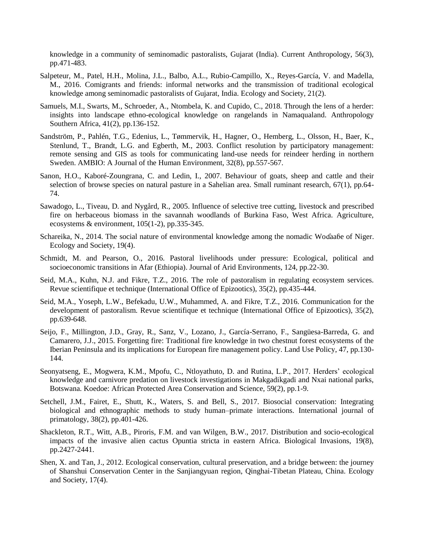knowledge in a community of seminomadic pastoralists, Gujarat (India). Current Anthropology, 56(3), pp.471-483.

- Salpeteur, M., Patel, H.H., Molina, J.L., Balbo, A.L., Rubio-Campillo, X., Reyes-García, V. and Madella, M., 2016. Comigrants and friends: informal networks and the transmission of traditional ecological knowledge among seminomadic pastoralists of Gujarat, India. Ecology and Society, 21(2).
- Samuels, M.I., Swarts, M., Schroeder, A., Ntombela, K. and Cupido, C., 2018. Through the lens of a herder: insights into landscape ethno-ecological knowledge on rangelands in Namaqualand. Anthropology Southern Africa, 41(2), pp.136-152.
- Sandström, P., Pahlén, T.G., Edenius, L., Tømmervik, H., Hagner, O., Hemberg, L., Olsson, H., Baer, K., Stenlund, T., Brandt, L.G. and Egberth, M., 2003. Conflict resolution by participatory management: remote sensing and GIS as tools for communicating land-use needs for reindeer herding in northern Sweden. AMBIO: A Journal of the Human Environment, 32(8), pp.557-567.
- Sanon, H.O., Kaboré-Zoungrana, C. and Ledin, I., 2007. Behaviour of goats, sheep and cattle and their selection of browse species on natural pasture in a Sahelian area. Small ruminant research, 67(1), pp.64- 74.
- Sawadogo, L., Tiveau, D. and Nygård, R., 2005. Influence of selective tree cutting, livestock and prescribed fire on herbaceous biomass in the savannah woodlands of Burkina Faso, West Africa. Agriculture, ecosystems & environment, 105(1-2), pp.335-345.
- Schareika, N., 2014. The social nature of environmental knowledge among the nomadic Wodaabe of Niger. Ecology and Society, 19(4).
- Schmidt, M. and Pearson, O., 2016. Pastoral livelihoods under pressure: Ecological, political and socioeconomic transitions in Afar (Ethiopia). Journal of Arid Environments, 124, pp.22-30.
- Seid, M.A., Kuhn, N.J. and Fikre, T.Z., 2016. The role of pastoralism in regulating ecosystem services. Revue scientifique et technique (International Office of Epizootics), 35(2), pp.435-444.
- Seid, M.A., Yoseph, L.W., Befekadu, U.W., Muhammed, A. and Fikre, T.Z., 2016. Communication for the development of pastoralism. Revue scientifique et technique (International Office of Epizootics), 35(2), pp.639-648.
- Seijo, F., Millington, J.D., Gray, R., Sanz, V., Lozano, J., García-Serrano, F., Sangüesa-Barreda, G. and Camarero, J.J., 2015. Forgetting fire: Traditional fire knowledge in two chestnut forest ecosystems of the Iberian Peninsula and its implications for European fire management policy. Land Use Policy, 47, pp.130- 144.
- Seonyatseng, E., Mogwera, K.M., Mpofu, C., Ntloyathuto, D. and Rutina, L.P., 2017. Herders' ecological knowledge and carnivore predation on livestock investigations in Makgadikgadi and Nxai national parks, Botswana. Koedoe: African Protected Area Conservation and Science, 59(2), pp.1-9.
- Setchell, J.M., Fairet, E., Shutt, K., Waters, S. and Bell, S., 2017. Biosocial conservation: Integrating biological and ethnographic methods to study human–primate interactions. International journal of primatology, 38(2), pp.401-426.
- Shackleton, R.T., Witt, A.B., Piroris, F.M. and van Wilgen, B.W., 2017. Distribution and socio-ecological impacts of the invasive alien cactus Opuntia stricta in eastern Africa. Biological Invasions, 19(8), pp.2427-2441.
- Shen, X. and Tan, J., 2012. Ecological conservation, cultural preservation, and a bridge between: the journey of Shanshui Conservation Center in the Sanjiangyuan region, Qinghai-Tibetan Plateau, China. Ecology and Society, 17(4).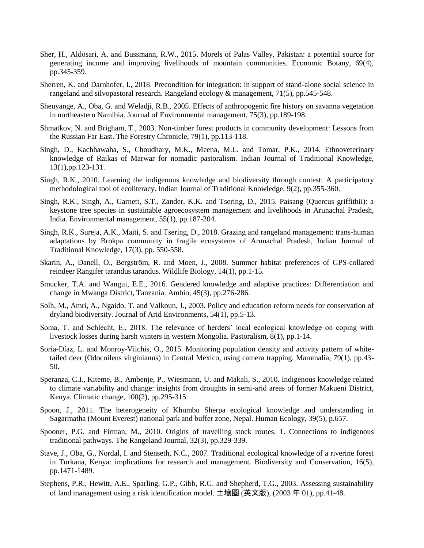- Sher, H., Aldosari, A. and Bussmann, R.W., 2015. Morels of Palas Valley, Pakistan: a potential source for generating income and improving livelihoods of mountain communities. Economic Botany, 69(4), pp.345-359.
- Sherren, K. and Darnhofer, I., 2018. Precondition for integration: in support of stand-alone social science in rangeland and silvopastoral research. Rangeland ecology & management, 71(5), pp.545-548.
- Sheuyange, A., Oba, G. and Weladji, R.B., 2005. Effects of anthropogenic fire history on savanna vegetation in northeastern Namibia. Journal of Environmental management, 75(3), pp.189-198.
- Shmatkov, N. and Brigham, T., 2003. Non-timber forest products in community development: Lessons from the Russian Far East. The Forestry Chronicle, 79(1), pp.113-118.
- Singh, D., Kachhawaha, S., Choudhary, M.K., Meena, M.L. and Tomar, P.K., 2014. Ethnoveterinary knowledge of Raikas of Marwar for nomadic pastoralism. Indian Journal of Traditional Knowledge, 13(1),pp.123-131.
- Singh, R.K., 2010. Learning the indigenous knowledge and biodiversity through contest: A participatory methodological tool of ecoliteracy. Indian Journal of Traditional Knowledge, 9(2), pp.355-360.
- Singh, R.K., Singh, A., Garnett, S.T., Zander, K.K. and Tsering, D., 2015. Paisang (Quercus griffithii): a keystone tree species in sustainable agroecosystem management and livelihoods in Arunachal Pradesh, India. Environmental management, 55(1), pp.187-204.
- Singh, R.K., Sureja, A.K., Maiti, S. and Tsering, D., 2018. Grazing and rangeland management: trans-human adaptations by Brokpa community in fragile ecosystems of Arunachal Pradesh, Indian Journal of Traditional Knowledge, 17(3), pp. 550-558.
- Skarin, A., Danell, Ö., Bergström, R. and Moen, J., 2008. Summer habitat preferences of GPS-collared reindeer Rangifer tarandus tarandus. Wildlife Biology, 14(1), pp.1-15.
- Smucker, T.A. and Wangui, E.E., 2016. Gendered knowledge and adaptive practices: Differentiation and change in Mwanga District, Tanzania. Ambio, 45(3), pp.276-286.
- Solh, M., Amri, A., Ngaido, T. and Valkoun, J., 2003. Policy and education reform needs for conservation of dryland biodiversity. Journal of Arid Environments, 54(1), pp.5-13.
- Soma, T. and Schlecht, E., 2018. The relevance of herders' local ecological knowledge on coping with livestock losses during harsh winters in western Mongolia. Pastoralism, 8(1), pp.1-14.
- Soria-Díaz, L. and Monroy-Vilchis, O., 2015. Monitoring population density and activity pattern of whitetailed deer (Odocoileus virginianus) in Central Mexico, using camera trapping. Mammalia, 79(1), pp.43- 50.
- Speranza, C.I., Kiteme, B., Ambenje, P., Wiesmann, U. and Makali, S., 2010. Indigenous knowledge related to climate variability and change: insights from droughts in semi-arid areas of former Makueni District, Kenya. Climatic change, 100(2), pp.295-315.
- Spoon, J., 2011. The heterogeneity of Khumbu Sherpa ecological knowledge and understanding in Sagarmatha (Mount Everest) national park and buffer zone, Nepal. Human Ecology, 39(5), p.657.
- Spooner, P.G. and Firman, M., 2010. Origins of travelling stock routes. 1. Connections to indigenous traditional pathways. The Rangeland Journal, 32(3), pp.329-339.
- Stave, J., Oba, G., Nordal, I. and Stenseth, N.C., 2007. Traditional ecological knowledge of a riverine forest in Turkana, Kenya: implications for research and management. Biodiversity and Conservation, 16(5), pp.1471-1489.
- Stephens, P.R., Hewitt, A.E., Sparling, G.P., Gibb, R.G. and Shepherd, T.G., 2003. Assessing sustainability of land management using a risk identification model. 土壤圈 (英文版), (2003 年 01), pp.41-48.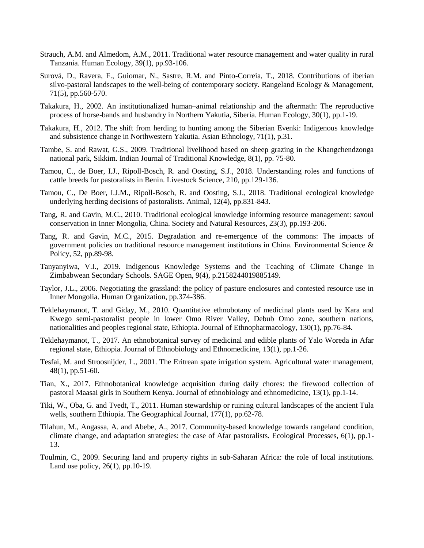- Strauch, A.M. and Almedom, A.M., 2011. Traditional water resource management and water quality in rural Tanzania. Human Ecology, 39(1), pp.93-106.
- Surová, D., Ravera, F., Guiomar, N., Sastre, R.M. and Pinto-Correia, T., 2018. Contributions of iberian silvo-pastoral landscapes to the well-being of contemporary society. Rangeland Ecology & Management, 71(5), pp.560-570.
- Takakura, H., 2002. An institutionalized human–animal relationship and the aftermath: The reproductive process of horse-bands and husbandry in Northern Yakutia, Siberia. Human Ecology, 30(1), pp.1-19.
- Takakura, H., 2012. The shift from herding to hunting among the Siberian Evenki: Indigenous knowledge and subsistence change in Northwestern Yakutia. Asian Ethnology, 71(1), p.31.
- Tambe, S. and Rawat, G.S., 2009. Traditional livelihood based on sheep grazing in the Khangchendzonga national park, Sikkim. Indian Journal of Traditional Knowledge, 8(1), pp. 75-80.
- Tamou, C., de Boer, I.J., Ripoll-Bosch, R. and Oosting, S.J., 2018. Understanding roles and functions of cattle breeds for pastoralists in Benin. Livestock Science, 210, pp.129-136.
- Tamou, C., De Boer, I.J.M., Ripoll-Bosch, R. and Oosting, S.J., 2018. Traditional ecological knowledge underlying herding decisions of pastoralists. Animal, 12(4), pp.831-843.
- Tang, R. and Gavin, M.C., 2010. Traditional ecological knowledge informing resource management: saxoul conservation in Inner Mongolia, China. Society and Natural Resources, 23(3), pp.193-206.
- Tang, R. and Gavin, M.C., 2015. Degradation and re-emergence of the commons: The impacts of government policies on traditional resource management institutions in China. Environmental Science  $\&$ Policy, 52, pp.89-98.
- Tanyanyiwa, V.I., 2019. Indigenous Knowledge Systems and the Teaching of Climate Change in Zimbabwean Secondary Schools. SAGE Open, 9(4), p.2158244019885149.
- Taylor, J.L., 2006. Negotiating the grassland: the policy of pasture enclosures and contested resource use in Inner Mongolia. Human Organization, pp.374-386.
- Teklehaymanot, T. and Giday, M., 2010. Quantitative ethnobotany of medicinal plants used by Kara and Kwego semi-pastoralist people in lower Omo River Valley, Debub Omo zone, southern nations, nationalities and peoples regional state, Ethiopia. Journal of Ethnopharmacology, 130(1), pp.76-84.
- Teklehaymanot, T., 2017. An ethnobotanical survey of medicinal and edible plants of Yalo Woreda in Afar regional state, Ethiopia. Journal of Ethnobiology and Ethnomedicine, 13(1), pp.1-26.
- Tesfai, M. and Stroosnijder, L., 2001. The Eritrean spate irrigation system. Agricultural water management, 48(1), pp.51-60.
- Tian, X., 2017. Ethnobotanical knowledge acquisition during daily chores: the firewood collection of pastoral Maasai girls in Southern Kenya. Journal of ethnobiology and ethnomedicine, 13(1), pp.1-14.
- Tiki, W., Oba, G. and Tvedt, T., 2011. Human stewardship or ruining cultural landscapes of the ancient Tula wells, southern Ethiopia. The Geographical Journal, 177(1), pp.62-78.
- Tilahun, M., Angassa, A. and Abebe, A., 2017. Community-based knowledge towards rangeland condition, climate change, and adaptation strategies: the case of Afar pastoralists. Ecological Processes, 6(1), pp.1- 13.
- Toulmin, C., 2009. Securing land and property rights in sub-Saharan Africa: the role of local institutions. Land use policy, 26(1), pp.10-19.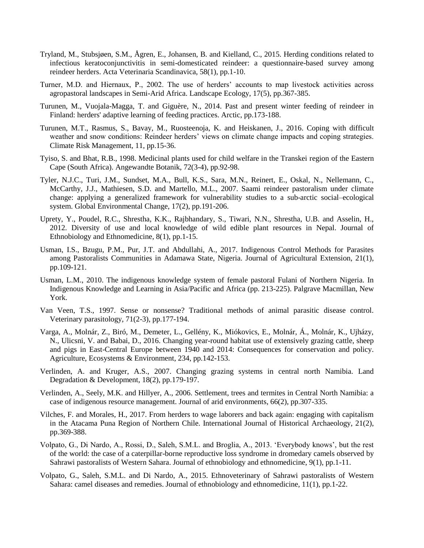- Tryland, M., Stubsjøen, S.M., Ågren, E., Johansen, B. and Kielland, C., 2015. Herding conditions related to infectious keratoconjunctivitis in semi-domesticated reindeer: a questionnaire-based survey among reindeer herders. Acta Veterinaria Scandinavica, 58(1), pp.1-10.
- Turner, M.D. and Hiernaux, P., 2002. The use of herders' accounts to map livestock activities across agropastoral landscapes in Semi-Arid Africa. Landscape Ecology, 17(5), pp.367-385.
- Turunen, M., Vuojala-Magga, T. and Giguère, N., 2014. Past and present winter feeding of reindeer in Finland: herders' adaptive learning of feeding practices. Arctic, pp.173-188.
- Turunen, M.T., Rasmus, S., Bavay, M., Ruosteenoja, K. and Heiskanen, J., 2016. Coping with difficult weather and snow conditions: Reindeer herders' views on climate change impacts and coping strategies. Climate Risk Management, 11, pp.15-36.
- Tyiso, S. and Bhat, R.B., 1998. Medicinal plants used for child welfare in the Transkei region of the Eastern Cape (South Africa). Angewandte Botanik, 72(3-4), pp.92-98.
- Tyler, N.J.C., Turi, J.M., Sundset, M.A., Bull, K.S., Sara, M.N., Reinert, E., Oskal, N., Nellemann, C., McCarthy, J.J., Mathiesen, S.D. and Martello, M.L., 2007. Saami reindeer pastoralism under climate change: applying a generalized framework for vulnerability studies to a sub-arctic social–ecological system. Global Environmental Change, 17(2), pp.191-206.
- Uprety, Y., Poudel, R.C., Shrestha, K.K., Rajbhandary, S., Tiwari, N.N., Shrestha, U.B. and Asselin, H., 2012. Diversity of use and local knowledge of wild edible plant resources in Nepal. Journal of Ethnobiology and Ethnomedicine, 8(1), pp.1-15.
- Usman, I.S., Bzugu, P.M., Pur, J.T. and Abdullahi, A., 2017. Indigenous Control Methods for Parasites among Pastoralists Communities in Adamawa State, Nigeria. Journal of Agricultural Extension, 21(1), pp.109-121.
- Usman, L.M., 2010. The indigenous knowledge system of female pastoral Fulani of Northern Nigeria. In Indigenous Knowledge and Learning in Asia/Pacific and Africa (pp. 213-225). Palgrave Macmillan, New York.
- Van Veen, T.S., 1997. Sense or nonsense? Traditional methods of animal parasitic disease control. Veterinary parasitology, 71(2-3), pp.177-194.
- Varga, A., Molnár, Z., Biró, M., Demeter, L., Gellény, K., Miókovics, E., Molnár, Á., Molnár, K., Ujházy, N., Ulicsni, V. and Babai, D., 2016. Changing year-round habitat use of extensively grazing cattle, sheep and pigs in East-Central Europe between 1940 and 2014: Consequences for conservation and policy. Agriculture, Ecosystems & Environment, 234, pp.142-153.
- Verlinden, A. and Kruger, A.S., 2007. Changing grazing systems in central north Namibia. Land Degradation & Development, 18(2), pp.179-197.
- Verlinden, A., Seely, M.K. and Hillyer, A., 2006. Settlement, trees and termites in Central North Namibia: a case of indigenous resource management. Journal of arid environments, 66(2), pp.307-335.
- Vilches, F. and Morales, H., 2017. From herders to wage laborers and back again: engaging with capitalism in the Atacama Puna Region of Northern Chile. International Journal of Historical Archaeology, 21(2), pp.369-388.
- Volpato, G., Di Nardo, A., Rossi, D., Saleh, S.M.L. and Broglia, A., 2013. 'Everybody knows', but the rest of the world: the case of a caterpillar-borne reproductive loss syndrome in dromedary camels observed by Sahrawi pastoralists of Western Sahara. Journal of ethnobiology and ethnomedicine, 9(1), pp.1-11.
- Volpato, G., Saleh, S.M.L. and Di Nardo, A., 2015. Ethnoveterinary of Sahrawi pastoralists of Western Sahara: camel diseases and remedies. Journal of ethnobiology and ethnomedicine, 11(1), pp.1-22.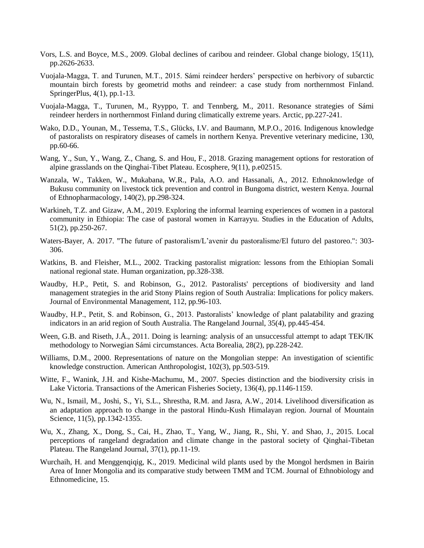- Vors, L.S. and Boyce, M.S., 2009. Global declines of caribou and reindeer. Global change biology, 15(11), pp.2626-2633.
- Vuojala-Magga, T. and Turunen, M.T., 2015. Sámi reindeer herders' perspective on herbivory of subarctic mountain birch forests by geometrid moths and reindeer: a case study from northernmost Finland. SpringerPlus, 4(1), pp.1-13.
- Vuojala-Magga, T., Turunen, M., Ryyppo, T. and Tennberg, M., 2011. Resonance strategies of Sámi reindeer herders in northernmost Finland during climatically extreme years. Arctic, pp.227-241.
- Wako, D.D., Younan, M., Tessema, T.S., Glücks, I.V. and Baumann, M.P.O., 2016. Indigenous knowledge of pastoralists on respiratory diseases of camels in northern Kenya. Preventive veterinary medicine, 130, pp.60-66.
- Wang, Y., Sun, Y., Wang, Z., Chang, S. and Hou, F., 2018. Grazing management options for restoration of alpine grasslands on the Qinghai‐Tibet Plateau. Ecosphere, 9(11), p.e02515.
- Wanzala, W., Takken, W., Mukabana, W.R., Pala, A.O. and Hassanali, A., 2012. Ethnoknowledge of Bukusu community on livestock tick prevention and control in Bungoma district, western Kenya. Journal of Ethnopharmacology, 140(2), pp.298-324.
- Warkineh, T.Z. and Gizaw, A.M., 2019. Exploring the informal learning experiences of women in a pastoral community in Ethiopia: The case of pastoral women in Karrayyu. Studies in the Education of Adults, 51(2), pp.250-267.
- Waters-Bayer, A. 2017. "The future of pastoralism/L'avenir du pastoralisme/El futuro del pastoreo.": 303- 306.
- Watkins, B. and Fleisher, M.L., 2002. Tracking pastoralist migration: lessons from the Ethiopian Somali national regional state. Human organization, pp.328-338.
- Waudby, H.P., Petit, S. and Robinson, G., 2012. Pastoralists' perceptions of biodiversity and land management strategies in the arid Stony Plains region of South Australia: Implications for policy makers. Journal of Environmental Management, 112, pp.96-103.
- Waudby, H.P., Petit, S. and Robinson, G., 2013. Pastoralists' knowledge of plant palatability and grazing indicators in an arid region of South Australia. The Rangeland Journal, 35(4), pp.445-454.
- Ween, G.B. and Riseth, J.Å., 2011. Doing is learning: analysis of an unsuccessful attempt to adapt TEK/IK methodology to Norwegian Sámi circumstances. Acta Borealia, 28(2), pp.228-242.
- Williams, D.M., 2000. Representations of nature on the Mongolian steppe: An investigation of scientific knowledge construction. American Anthropologist, 102(3), pp.503-519.
- Witte, F., Wanink, J.H. and Kishe-Machumu, M., 2007. Species distinction and the biodiversity crisis in Lake Victoria. Transactions of the American Fisheries Society, 136(4), pp.1146-1159.
- Wu, N., Ismail, M., Joshi, S., Yi, S.L., Shrestha, R.M. and Jasra, A.W., 2014. Livelihood diversification as an adaptation approach to change in the pastoral Hindu-Kush Himalayan region. Journal of Mountain Science, 11(5), pp.1342-1355.
- Wu, X., Zhang, X., Dong, S., Cai, H., Zhao, T., Yang, W., Jiang, R., Shi, Y. and Shao, J., 2015. Local perceptions of rangeland degradation and climate change in the pastoral society of Qinghai-Tibetan Plateau. The Rangeland Journal, 37(1), pp.11-19.
- Wurchaih, H. and Menggenqiqig, K., 2019. Medicinal wild plants used by the Mongol herdsmen in Bairin Area of Inner Mongolia and its comparative study between TMM and TCM. Journal of Ethnobiology and Ethnomedicine, 15.